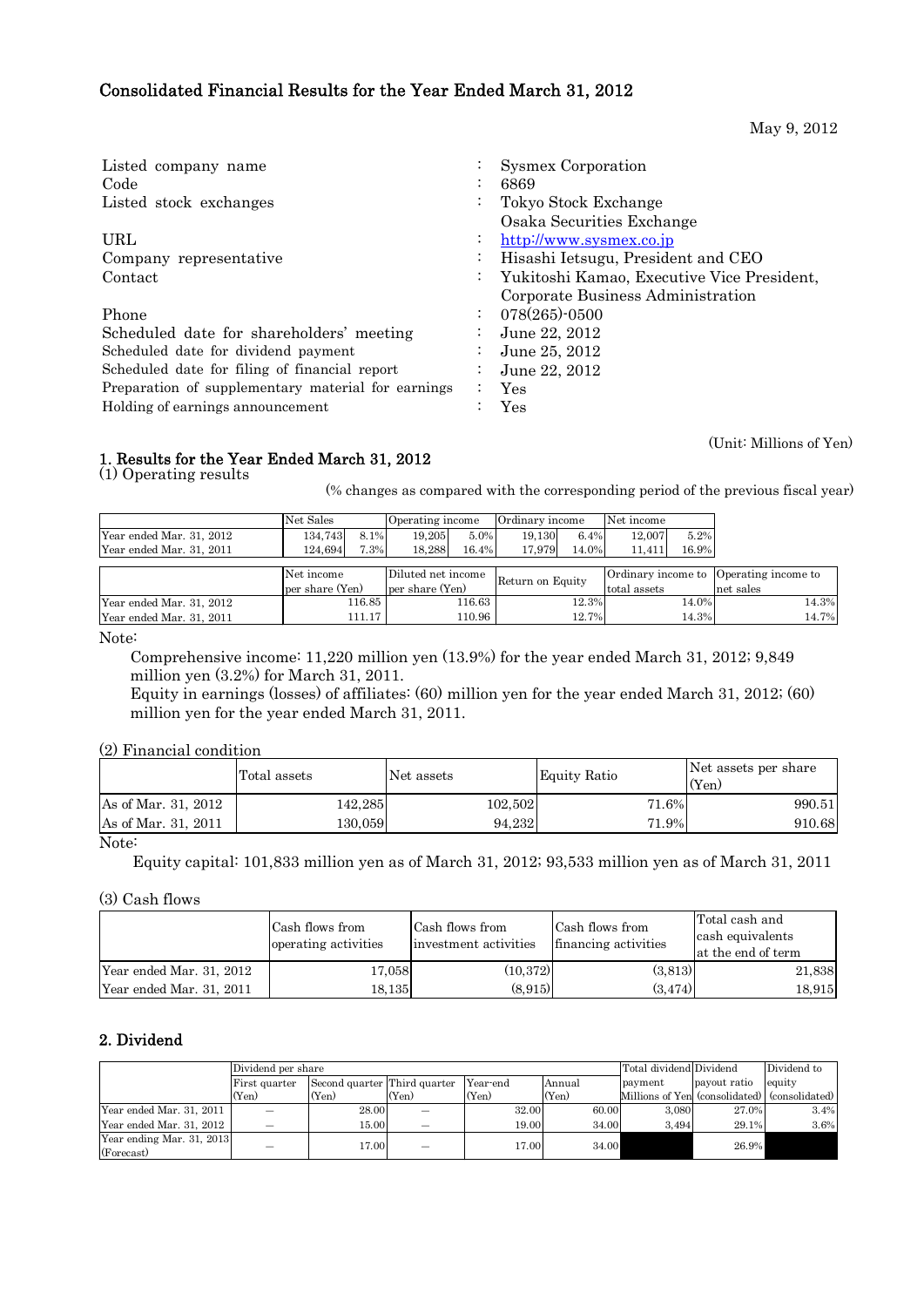# Consolidated Financial Results for the Year Ended March 31, 2012

May 9, 2012

| Listed company name                                |                      | Sysmex Corporation                         |
|----------------------------------------------------|----------------------|--------------------------------------------|
| Code                                               |                      | 6869                                       |
| Listed stock exchanges                             |                      | Tokyo Stock Exchange                       |
|                                                    |                      | Osaka Securities Exchange                  |
| URL                                                | $\ddot{\phantom{0}}$ | http://www.sysmex.co.jp                    |
| Company representative                             |                      | Hisashi Ietsugu, President and CEO         |
| Contact                                            |                      | Yukitoshi Kamao, Executive Vice President, |
|                                                    |                      | Corporate Business Administration          |
| Phone                                              |                      | $078(265)$ -0500                           |
| Scheduled date for shareholders' meeting           |                      | June 22, 2012                              |
| Scheduled date for dividend payment                |                      | June 25, 2012                              |
| Scheduled date for filing of financial report      |                      | June 22, 2012                              |
| Preparation of supplementary material for earnings |                      | Yes                                        |
| Holding of earnings announcement                   |                      | Yes                                        |

(Unit: Millions of Yen)

# 1. Results for the Year Ended March 31, 2012

(1) Operating results

(% changes as compared with the corresponding period of the previous fiscal year)

|                          | Net Sales       |        |                    | Operating income |                  | Net income<br>Ordinary income |        |       |                                        |
|--------------------------|-----------------|--------|--------------------|------------------|------------------|-------------------------------|--------|-------|----------------------------------------|
| Year ended Mar. 31, 2012 | 134,743         | 8.1%   | 19.205             | 5.0%             | 19.130           | 6.4%                          | 12.007 | 5.2%  |                                        |
| Year ended Mar. 31, 2011 | 124.694         | 7.3%   | 18,288             | 16.4%            | 17.979           | 14.0%                         | 11,411 | 16.9% |                                        |
|                          |                 |        |                    |                  |                  |                               |        |       |                                        |
|                          | Net income      |        | Diluted net income |                  | Return on Equity |                               |        |       | Ordinary income to Operating income to |
|                          | per share (Yen) |        |                    | per share (Yen)  |                  | total assets                  |        |       | net sales                              |
| Year ended Mar. 31, 2012 |                 | 116.85 |                    | 116.63           |                  | 12.3%                         |        | 14.0% | 14.3%                                  |
| Year ended Mar. 31, 2011 | 111.17          |        |                    | 110.96<br>12.7%  |                  |                               | 14.3%  | 14.7% |                                        |

Note:

 Comprehensive income: 11,220 million yen (13.9%) for the year ended March 31, 2012; 9,849 million yen (3.2%) for March 31, 2011.

Equity in earnings (losses) of affiliates: (60) million yen for the year ended March 31, 2012; (60) million yen for the year ended March 31, 2011.

(2) Financial condition

|                     | Total assets | Net assets | Equity Ratio | Net assets per share<br>(Yen) |
|---------------------|--------------|------------|--------------|-------------------------------|
| As of Mar. 31, 2012 | 142.285      | 102,502    | 71.6%        | 990.51                        |
| As of Mar. 31, 2011 | 130.059      | 94.232     | 71.9%        | 910.68                        |

# Note:

Equity capital: 101,833 million yen as of March 31, 2012; 93,533 million yen as of March 31, 2011

(3) Cash flows

|                          | Cash flows from<br>operating activities | Cash flows from<br>investment activities | Cash flows from<br>financing activities | Total cash and<br>cash equivalents<br>at the end of term |
|--------------------------|-----------------------------------------|------------------------------------------|-----------------------------------------|----------------------------------------------------------|
| Year ended Mar. 31, 2012 | 17.058                                  | (10.372)                                 | (3,813)                                 | 21,838                                                   |
| Year ended Mar. 31, 2011 | 18.135                                  | (8.915)                                  | (3.474)                                 | 18,915                                                   |

# 2. Dividend

| Dividend per share                      | Total dividend Dividend |                              | Dividend to |          |        |         |              |                                               |
|-----------------------------------------|-------------------------|------------------------------|-------------|----------|--------|---------|--------------|-----------------------------------------------|
|                                         | First quarter           | Second quarter Third quarter |             | Year-end | Annual | payment | payout ratio | equity                                        |
|                                         | (Yen)                   | (Yen)                        | (Yen)       | (Yen)    | (Yen)  |         |              | Millions of Yen (consolidated) (consolidated) |
| Year ended Mar. 31, 2011                |                         | 28.00                        |             | 32.00    | 60.00  | 3.080   | 27.0%        | 3.4%                                          |
| Year ended Mar. 31, 2012                |                         | 15.00                        | –           | 19.00    | 34.00  | 3.494   | 29.1%        | 3.6%                                          |
| Year ending Mar. 31, 2013<br>(Forecast) | —                       | 17.00                        | –           | 17.00    | 34.00  |         | 26.9%        |                                               |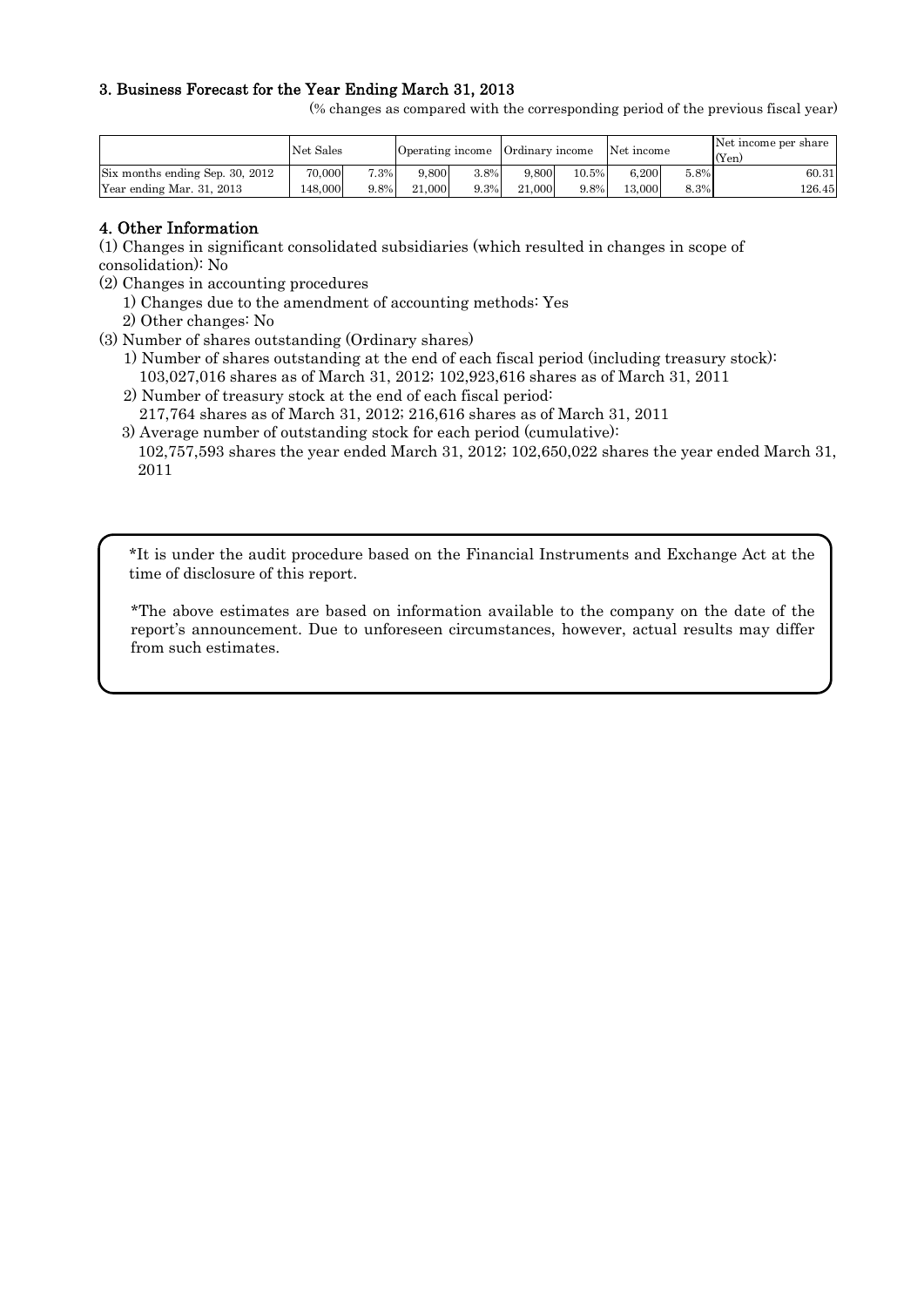# 3. Business Forecast for the Year Ending March 31, 2013

(% changes as compared with the corresponding period of the previous fiscal year)

|                                 | Net Sales |      | Operating income |      | Ordinary income |       | Net income |      | Net income per share<br>(Yen) |
|---------------------------------|-----------|------|------------------|------|-----------------|-------|------------|------|-------------------------------|
| Six months ending Sep. 30, 2012 | 70,000    | 7.3% | 9.800            | 3.8% | 9.800           | 10.5% | 6.200      | 5.8% | 60.31                         |
| Year ending Mar. 31, 2013       | 48,000    | 9.8% | 21,000           | 9.3% | 21,000          | 9.8%  | 13.000     | 8.3% | 126.45                        |

# 4. Other Information

(1) Changes in significant consolidated subsidiaries (which resulted in changes in scope of consolidation): No

- (2) Changes in accounting procedures
	- 1) Changes due to the amendment of accounting methods: Yes
	- 2) Other changes: No
- (3) Number of shares outstanding (Ordinary shares)
	- 1) Number of shares outstanding at the end of each fiscal period (including treasury stock): 103,027,016 shares as of March 31, 2012; 102,923,616 shares as of March 31, 2011
	- 2) Number of treasury stock at the end of each fiscal period:
		- 217,764 shares as of March 31, 2012; 216,616 shares as of March 31, 2011
	- 3) Average number of outstanding stock for each period (cumulative): 102,757,593 shares the year ended March 31, 2012; 102,650,022 shares the year ended March 31, 2011

\*It is under the audit procedure based on the Financial Instruments and Exchange Act at the time of disclosure of this report.

\*The above estimates are based on information available to the company on the date of the report's announcement. Due to unforeseen circumstances, however, actual results may differ from such estimates.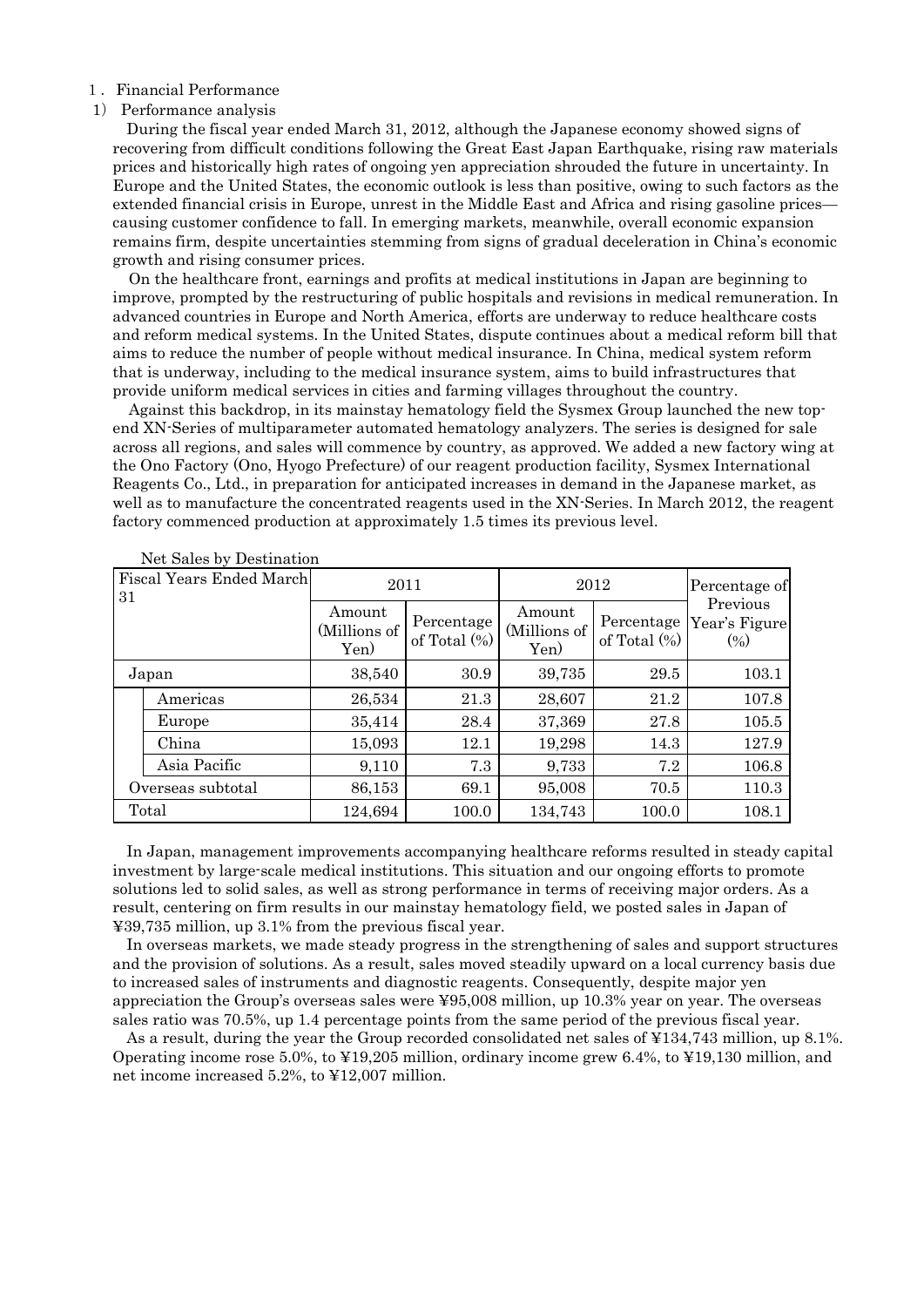#### 1.Financial Performance

#### 1) Performance analysis

During the fiscal year ended March 31, 2012, although the Japanese economy showed signs of recovering from difficult conditions following the Great East Japan Earthquake, rising raw materials prices and historically high rates of ongoing yen appreciation shrouded the future in uncertainty. In Europe and the United States, the economic outlook is less than positive, owing to such factors as the extended financial crisis in Europe, unrest in the Middle East and Africa and rising gasoline prices causing customer confidence to fall. In emerging markets, meanwhile, overall economic expansion remains firm, despite uncertainties stemming from signs of gradual deceleration in China's economic growth and rising consumer prices.

On the healthcare front, earnings and profits at medical institutions in Japan are beginning to improve, prompted by the restructuring of public hospitals and revisions in medical remuneration. In advanced countries in Europe and North America, efforts are underway to reduce healthcare costs and reform medical systems. In the United States, dispute continues about a medical reform bill that aims to reduce the number of people without medical insurance. In China, medical system reform that is underway, including to the medical insurance system, aims to build infrastructures that provide uniform medical services in cities and farming villages throughout the country.

Against this backdrop, in its mainstay hematology field the Sysmex Group launched the new topend XN-Series of multiparameter automated hematology analyzers. The series is designed for sale across all regions, and sales will commence by country, as approved. We added a new factory wing at the Ono Factory (Ono, Hyogo Prefecture) of our reagent production facility, Sysmex International Reagents Co., Ltd., in preparation for anticipated increases in demand in the Japanese market, as well as to manufacture the concentrated reagents used in the XN-Series. In March 2012, the reagent factory commenced production at approximately 1.5 times its previous level.

| <b>Fiscal Years Ended March</b><br>31 |                   | 2011                           |                               | 2012                           | Percentage of                 |                                    |
|---------------------------------------|-------------------|--------------------------------|-------------------------------|--------------------------------|-------------------------------|------------------------------------|
|                                       |                   | Amount<br>(Millions of<br>Yen) | Percentage<br>of Total $(\%)$ | Amount<br>(Millions of<br>Yen) | Percentage<br>of Total $(\%)$ | Previous<br>Year's Figure<br>(0/0) |
|                                       | Japan             | 38,540                         | 30.9                          | 39,735                         | 29.5                          | 103.1                              |
|                                       | Americas          | 26,534                         | 21.3                          | 28,607                         | 21.2                          | 107.8                              |
|                                       | Europe            | 35,414                         | 28.4                          | 37,369                         | 27.8                          | 105.5                              |
|                                       | China             | 15,093                         | 12.1                          | 19,298                         | 14.3                          | 127.9                              |
|                                       | Asia Pacific      | 9,110                          | 7.3                           | 9,733                          | 7.2                           | 106.8                              |
|                                       | Overseas subtotal | 86,153                         | 69.1                          | 95,008                         | 70.5                          | 110.3                              |
|                                       | Total             | 124,694                        | 100.0                         | 134,743                        | 100.0                         | 108.1                              |

Net Sales by Destination

In Japan, management improvements accompanying healthcare reforms resulted in steady capital investment by large-scale medical institutions. This situation and our ongoing efforts to promote solutions led to solid sales, as well as strong performance in terms of receiving major orders. As a result, centering on firm results in our mainstay hematology field, we posted sales in Japan of ¥39,735 million, up 3.1% from the previous fiscal year.

In overseas markets, we made steady progress in the strengthening of sales and support structures and the provision of solutions. As a result, sales moved steadily upward on a local currency basis due to increased sales of instruments and diagnostic reagents. Consequently, despite major yen appreciation the Group's overseas sales were ¥95,008 million, up 10.3% year on year. The overseas sales ratio was 70.5%, up 1.4 percentage points from the same period of the previous fiscal year.

As a result, during the year the Group recorded consolidated net sales of ¥134,743 million, up 8.1%. Operating income rose 5.0%, to ¥19,205 million, ordinary income grew 6.4%, to ¥19,130 million, and net income increased 5.2%, to ¥12,007 million.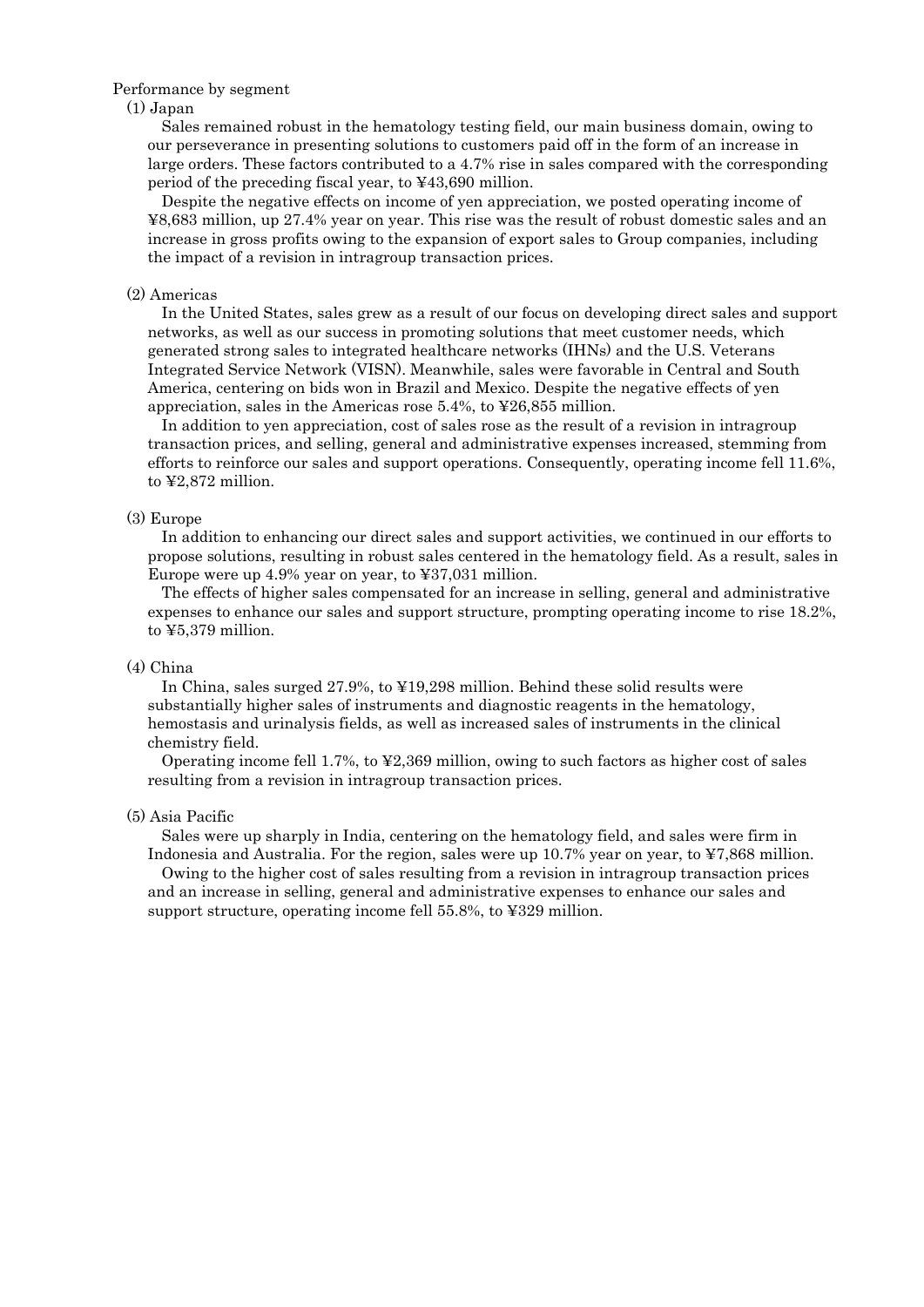#### Performance by segment

#### (1) Japan

Sales remained robust in the hematology testing field, our main business domain, owing to our perseverance in presenting solutions to customers paid off in the form of an increase in large orders. These factors contributed to a 4.7% rise in sales compared with the corresponding period of the preceding fiscal year, to ¥43,690 million.

Despite the negative effects on income of yen appreciation, we posted operating income of ¥8,683 million, up 27.4% year on year. This rise was the result of robust domestic sales and an increase in gross profits owing to the expansion of export sales to Group companies, including the impact of a revision in intragroup transaction prices.

#### (2) Americas

In the United States, sales grew as a result of our focus on developing direct sales and support networks, as well as our success in promoting solutions that meet customer needs, which generated strong sales to integrated healthcare networks (IHNs) and the U.S. Veterans Integrated Service Network (VISN). Meanwhile, sales were favorable in Central and South America, centering on bids won in Brazil and Mexico. Despite the negative effects of yen appreciation, sales in the Americas rose 5.4%, to ¥26,855 million.

In addition to yen appreciation, cost of sales rose as the result of a revision in intragroup transaction prices, and selling, general and administrative expenses increased, stemming from efforts to reinforce our sales and support operations. Consequently, operating income fell 11.6%, to ¥2,872 million.

## (3) Europe

In addition to enhancing our direct sales and support activities, we continued in our efforts to propose solutions, resulting in robust sales centered in the hematology field. As a result, sales in Europe were up 4.9% year on year, to ¥37,031 million.

The effects of higher sales compensated for an increase in selling, general and administrative expenses to enhance our sales and support structure, prompting operating income to rise 18.2%, to ¥5,379 million.

#### (4) China

In China, sales surged 27.9%, to ¥19,298 million. Behind these solid results were substantially higher sales of instruments and diagnostic reagents in the hematology, hemostasis and urinalysis fields, as well as increased sales of instruments in the clinical chemistry field.

Operating income fell 1.7%, to ¥2,369 million, owing to such factors as higher cost of sales resulting from a revision in intragroup transaction prices.

#### (5) Asia Pacific

Sales were up sharply in India, centering on the hematology field, and sales were firm in Indonesia and Australia. For the region, sales were up 10.7% year on year, to ¥7,868 million. Owing to the higher cost of sales resulting from a revision in intragroup transaction prices and an increase in selling, general and administrative expenses to enhance our sales and support structure, operating income fell 55.8%, to ¥329 million.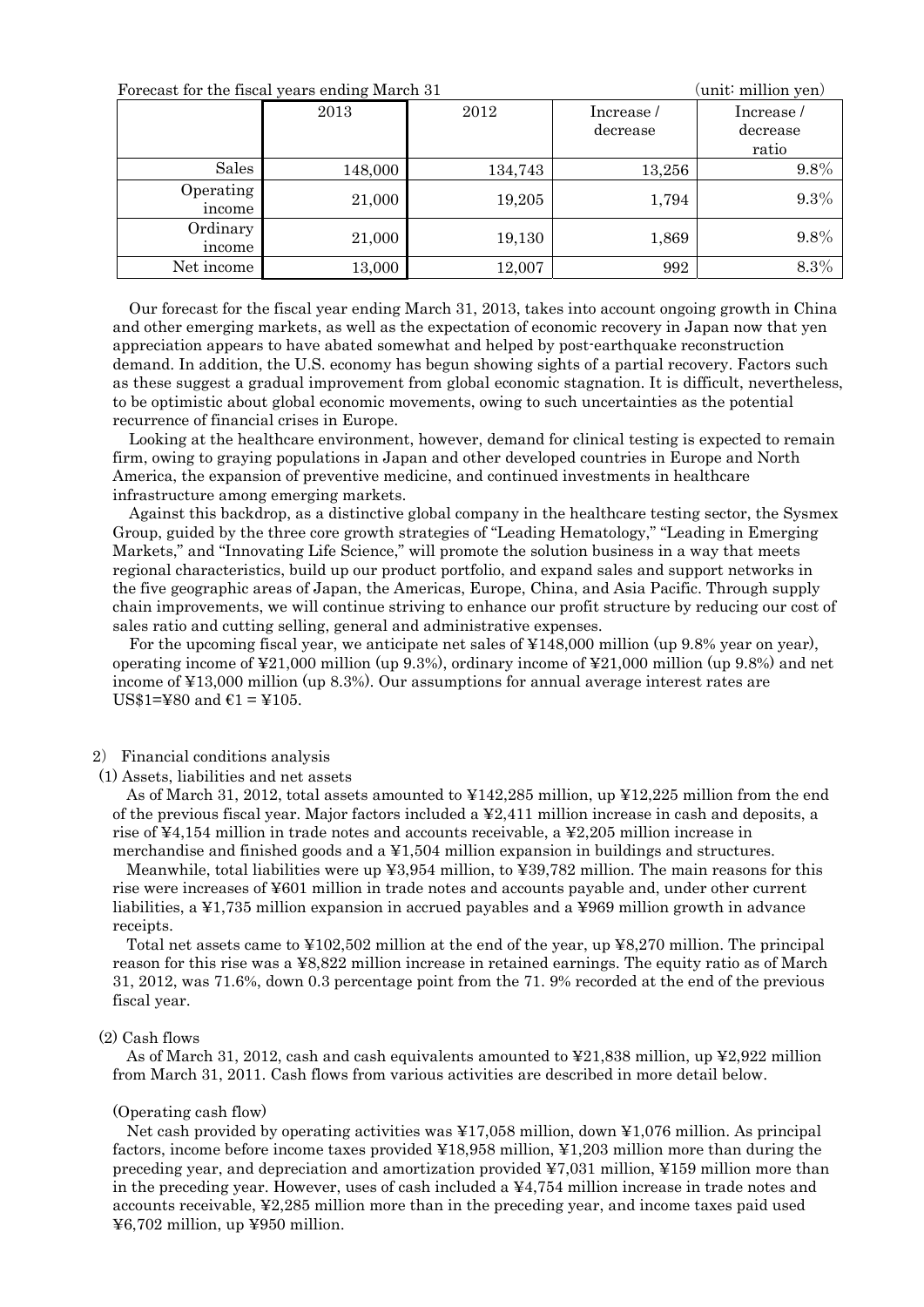| Forecast for the fiscal years ending March 31 |         |         |                       | unit∶ million yen)             |
|-----------------------------------------------|---------|---------|-----------------------|--------------------------------|
|                                               | 2013    | 2012    | Increase/<br>decrease | Increase/<br>decrease<br>ratio |
| Sales                                         | 148,000 | 134,743 | 13,256                | $9.8\%$                        |
| Operating<br>income                           | 21,000  | 19,205  | 1,794                 | 9.3%                           |
| Ordinary<br>income                            | 21,000  | 19,130  | 1,869                 | 9.8%                           |
| Net income                                    | 13,000  | 12,007  | 992                   | 8.3%                           |

Our forecast for the fiscal year ending March 31, 2013, takes into account ongoing growth in China and other emerging markets, as well as the expectation of economic recovery in Japan now that yen appreciation appears to have abated somewhat and helped by post-earthquake reconstruction demand. In addition, the U.S. economy has begun showing sights of a partial recovery. Factors such as these suggest a gradual improvement from global economic stagnation. It is difficult, nevertheless, to be optimistic about global economic movements, owing to such uncertainties as the potential recurrence of financial crises in Europe.

Looking at the healthcare environment, however, demand for clinical testing is expected to remain firm, owing to graying populations in Japan and other developed countries in Europe and North America, the expansion of preventive medicine, and continued investments in healthcare infrastructure among emerging markets.

Against this backdrop, as a distinctive global company in the healthcare testing sector, the Sysmex Group, guided by the three core growth strategies of "Leading Hematology," "Leading in Emerging Markets," and "Innovating Life Science," will promote the solution business in a way that meets regional characteristics, build up our product portfolio, and expand sales and support networks in the five geographic areas of Japan, the Americas, Europe, China, and Asia Pacific. Through supply chain improvements, we will continue striving to enhance our profit structure by reducing our cost of sales ratio and cutting selling, general and administrative expenses.

For the upcoming fiscal year, we anticipate net sales of ¥148,000 million (up 9.8% year on year), operating income of ¥21,000 million (up 9.3%), ordinary income of ¥21,000 million (up 9.8%) and net income of ¥13,000 million (up 8.3%). Our assumptions for annual average interest rates are US\$1=¥80 and  $\epsilon$ 1 = ¥105.

#### 2) Financial conditions analysis

(1) Assets, liabilities and net assets

As of March 31, 2012, total assets amounted to ¥142,285 million, up ¥12,225 million from the end of the previous fiscal year. Major factors included a ¥2,411 million increase in cash and deposits, a rise of ¥4,154 million in trade notes and accounts receivable, a ¥2,205 million increase in merchandise and finished goods and a ¥1,504 million expansion in buildings and structures.

Meanwhile, total liabilities were up ¥3,954 million, to ¥39,782 million. The main reasons for this rise were increases of ¥601 million in trade notes and accounts payable and, under other current liabilities, a ¥1,735 million expansion in accrued payables and a ¥969 million growth in advance receipts.

Total net assets came to ¥102,502 million at the end of the year, up ¥8,270 million. The principal reason for this rise was a ¥8,822 million increase in retained earnings. The equity ratio as of March 31, 2012, was 71.6%, down 0.3 percentage point from the 71. 9% recorded at the end of the previous fiscal year.

#### (2) Cash flows

As of March 31, 2012, cash and cash equivalents amounted to  $\yen$ 21,838 million, up  $\yen$ 2,922 million from March 31, 2011. Cash flows from various activities are described in more detail below.

#### (Operating cash flow)

Net cash provided by operating activities was ¥17,058 million, down ¥1,076 million. As principal factors, income before income taxes provided ¥18,958 million, ¥1,203 million more than during the preceding year, and depreciation and amortization provided  $\text{\textless}7,031$  million,  $\text{\textless}159$  million more than in the preceding year. However, uses of cash included a  $\frac{4}{4}754$  million increase in trade notes and accounts receivable, ¥2,285 million more than in the preceding year, and income taxes paid used ¥6,702 million, up ¥950 million.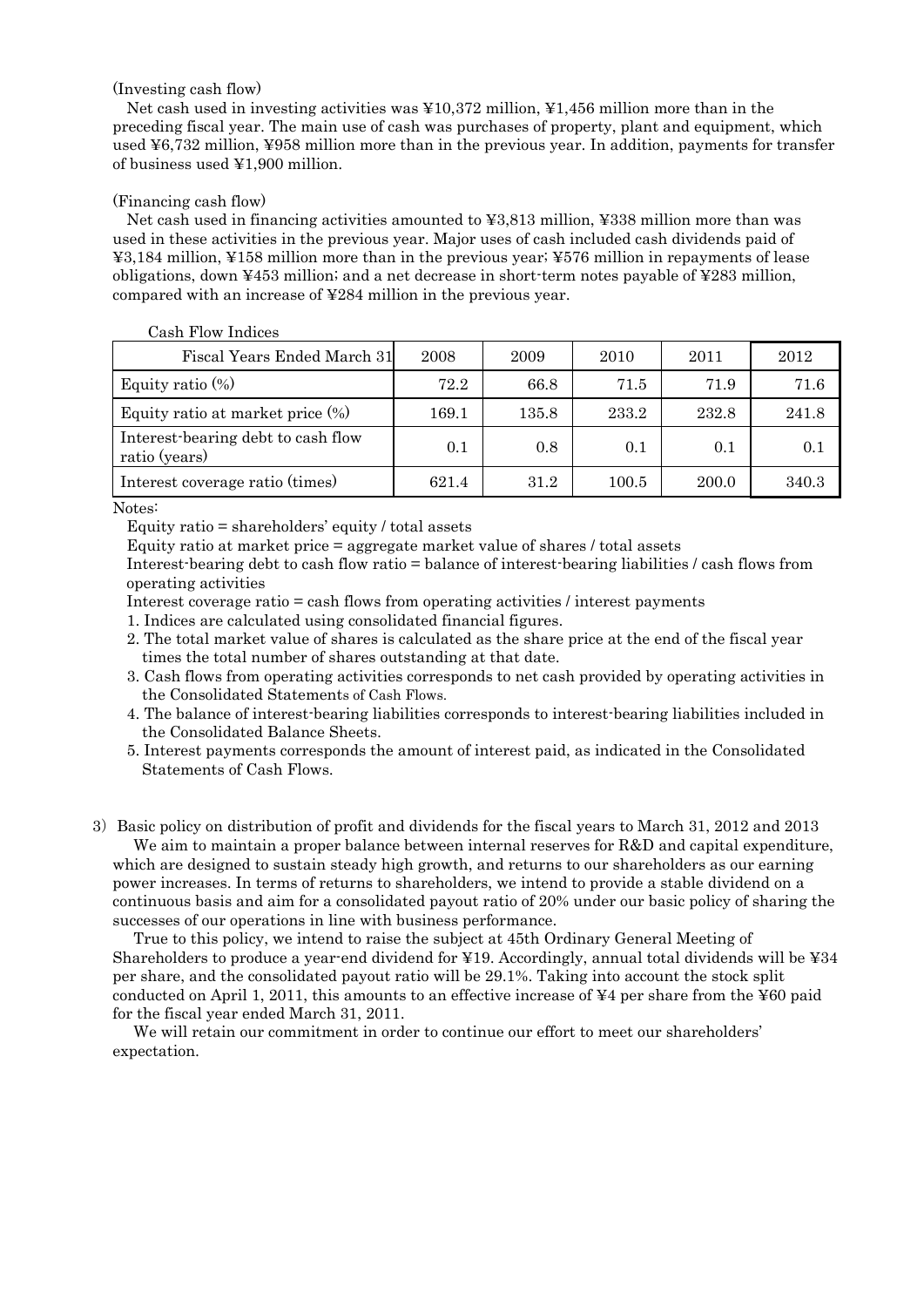#### (Investing cash flow)

Net cash used in investing activities was ¥10,372 million, ¥1,456 million more than in the preceding fiscal year. The main use of cash was purchases of property, plant and equipment, which used ¥6,732 million, ¥958 million more than in the previous year. In addition, payments for transfer of business used ¥1,900 million.

#### (Financing cash flow)

Net cash used in financing activities amounted to ¥3,813 million, ¥338 million more than was used in these activities in the previous year. Major uses of cash included cash dividends paid of ¥3,184 million, ¥158 million more than in the previous year; ¥576 million in repayments of lease obligations, down ¥453 million; and a net decrease in short-term notes payable of ¥283 million, compared with an increase of ¥284 million in the previous year.

#### Cash Flow Indices

| Fiscal Years Ended March 31                         | 2008  | 2009  | 2010  | 2011  | 2012  |
|-----------------------------------------------------|-------|-------|-------|-------|-------|
| Equity ratio $(\%)$                                 | 72.2  | 66.8  | 71.5  | 71.9  | 71.6  |
| Equity ratio at market price $(\%)$                 | 169.1 | 135.8 | 233.2 | 232.8 | 241.8 |
| Interest-bearing debt to cash flow<br>ratio (years) | 0.1   | 0.8   | 0.1   | 0.1   | 0.1   |
| Interest coverage ratio (times)                     | 621.4 | 31.2  | 100.5 | 200.0 | 340.3 |

Notes:

Equity ratio  $=$  shareholders' equity / total assets

Equity ratio at market price = aggregate market value of shares / total assets

Interest-bearing debt to cash flow ratio = balance of interest-bearing liabilities / cash flows from operating activities

Interest coverage ratio = cash flows from operating activities / interest payments

- 1. Indices are calculated using consolidated financial figures.
- 2. The total market value of shares is calculated as the share price at the end of the fiscal year times the total number of shares outstanding at that date.
- 3. Cash flows from operating activities corresponds to net cash provided by operating activities in the Consolidated Statements of Cash Flows.
- 4. The balance of interest-bearing liabilities corresponds to interest-bearing liabilities included in the Consolidated Balance Sheets.
- 5. Interest payments corresponds the amount of interest paid, as indicated in the Consolidated Statements of Cash Flows.
- 3)Basic policy on distribution of profit and dividends for the fiscal years to March 31, 2012 and 2013 We aim to maintain a proper balance between internal reserves for R&D and capital expenditure,

which are designed to sustain steady high growth, and returns to our shareholders as our earning power increases. In terms of returns to shareholders, we intend to provide a stable dividend on a continuous basis and aim for a consolidated payout ratio of 20% under our basic policy of sharing the successes of our operations in line with business performance.

True to this policy, we intend to raise the subject at 45th Ordinary General Meeting of Shareholders to produce a year-end dividend for  $\angle 19$ . Accordingly, annual total dividends will be  $\angle 34$ per share, and the consolidated payout ratio will be 29.1%. Taking into account the stock split conducted on April 1, 2011, this amounts to an effective increase of  $\overline{4}4$  per share from the  $\overline{4}60$  paid for the fiscal year ended March 31, 2011.

We will retain our commitment in order to continue our effort to meet our shareholders' expectation.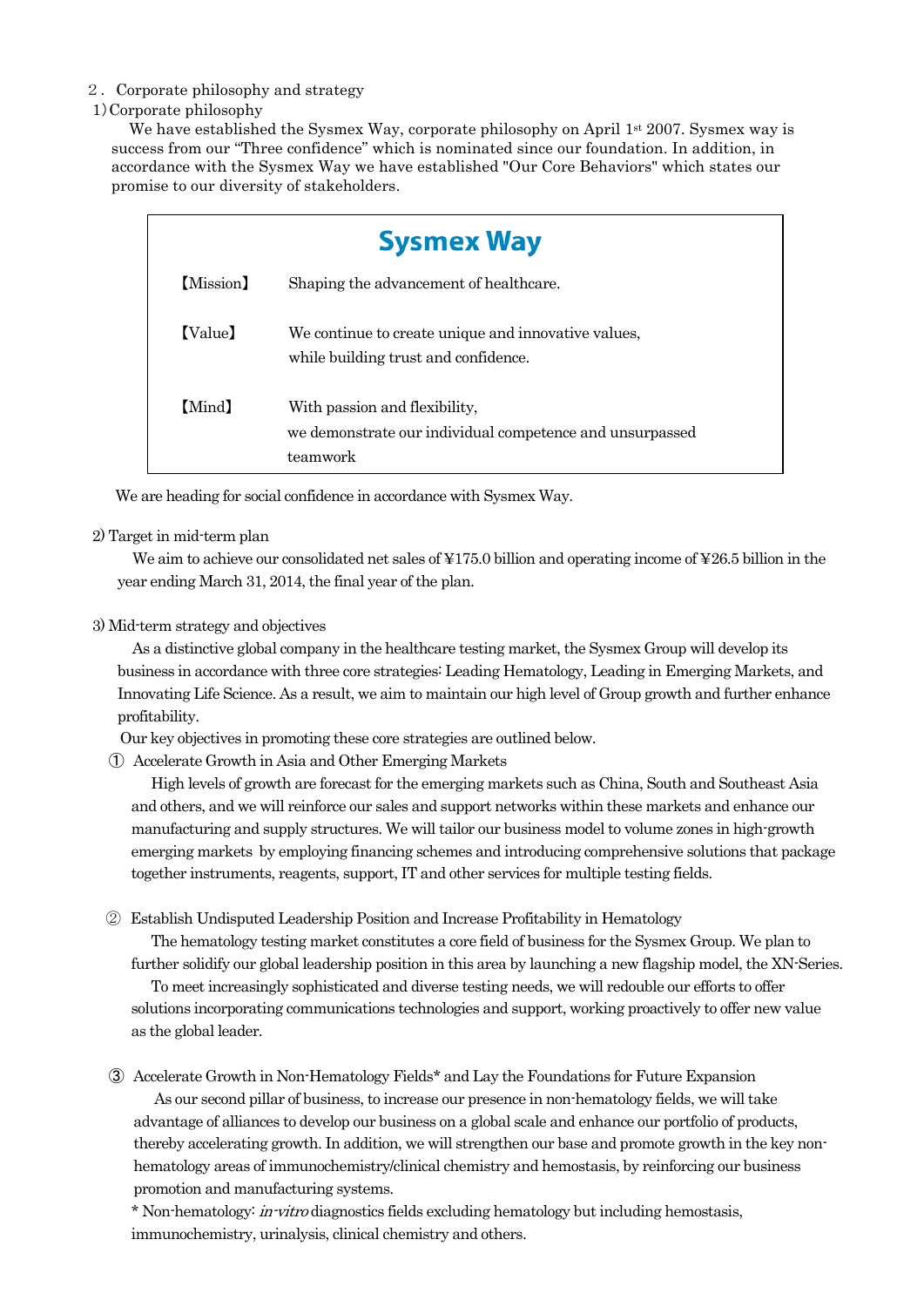# 2.Corporate philosophy and strategy

# 1)Corporate philosophy

We have established the Sysmex Way, corporate philosophy on April 1<sup>st</sup> 2007. Sysmex way is success from our "Three confidence" which is nominated since our foundation. In addition, in accordance with the Sysmex Way we have established "Our Core Behaviors" which states our promise to our diversity of stakeholders.

|           | <b>Sysmex Way</b>                                                                                     |  |  |  |  |  |  |
|-----------|-------------------------------------------------------------------------------------------------------|--|--|--|--|--|--|
| (Mission) | Shaping the advancement of healthcare.                                                                |  |  |  |  |  |  |
| (Value)   | We continue to create unique and innovative values,<br>while building trust and confidence.           |  |  |  |  |  |  |
| [Mind]    | With passion and flexibility,<br>we demonstrate our individual competence and unsurpassed<br>teamwork |  |  |  |  |  |  |

We are heading for social confidence in accordance with Sysmex Way.

# 2) Target in mid-term plan

We aim to achieve our consolidated net sales of ¥175.0 billion and operating income of ¥26.5 billion in the year ending March 31, 2014, the final year of the plan.

# 3) Mid-term strategy and objectives

As a distinctive global company in the healthcare testing market, the Sysmex Group will develop its business in accordance with three core strategies: Leading Hematology, Leading in Emerging Markets, and Innovating Life Science. As a result, we aim to maintain our high level of Group growth and further enhance profitability.

Our key objectives in promoting these core strategies are outlined below.

① Accelerate Growth in Asia and Other Emerging Markets

High levels of growth are forecast for the emerging markets such as China, South and Southeast Asia and others, and we will reinforce our sales and support networks within these markets and enhance our manufacturing and supply structures. We will tailor our business model to volume zones in high-growth emerging markets by employing financing schemes and introducing comprehensive solutions that package together instruments, reagents, support, IT and other services for multiple testing fields.

② Establish Undisputed Leadership Position and Increase Profitability in Hematology

The hematology testing market constitutes a core field of business for the Sysmex Group. We plan to further solidify our global leadership position in this area by launching a new flagship model, the XN-Series. To meet increasingly sophisticated and diverse testing needs, we will redouble our efforts to offer solutions incorporating communications technologies and support, working proactively to offer new value as the global leader.

③ Accelerate Growth in Non-Hematology Fields\* and Lay the Foundations for Future Expansion

As our second pillar of business, to increase our presence in non-hematology fields, we will take advantage of alliances to develop our business on a global scale and enhance our portfolio of products, thereby accelerating growth. In addition, we will strengthen our base and promote growth in the key nonhematology areas of immunochemistry/clinical chemistry and hemostasis, by reinforcing our business promotion and manufacturing systems.

\* Non-hematology: in-vitro diagnostics fields excluding hematology but including hemostasis, immunochemistry, urinalysis, clinical chemistry and others.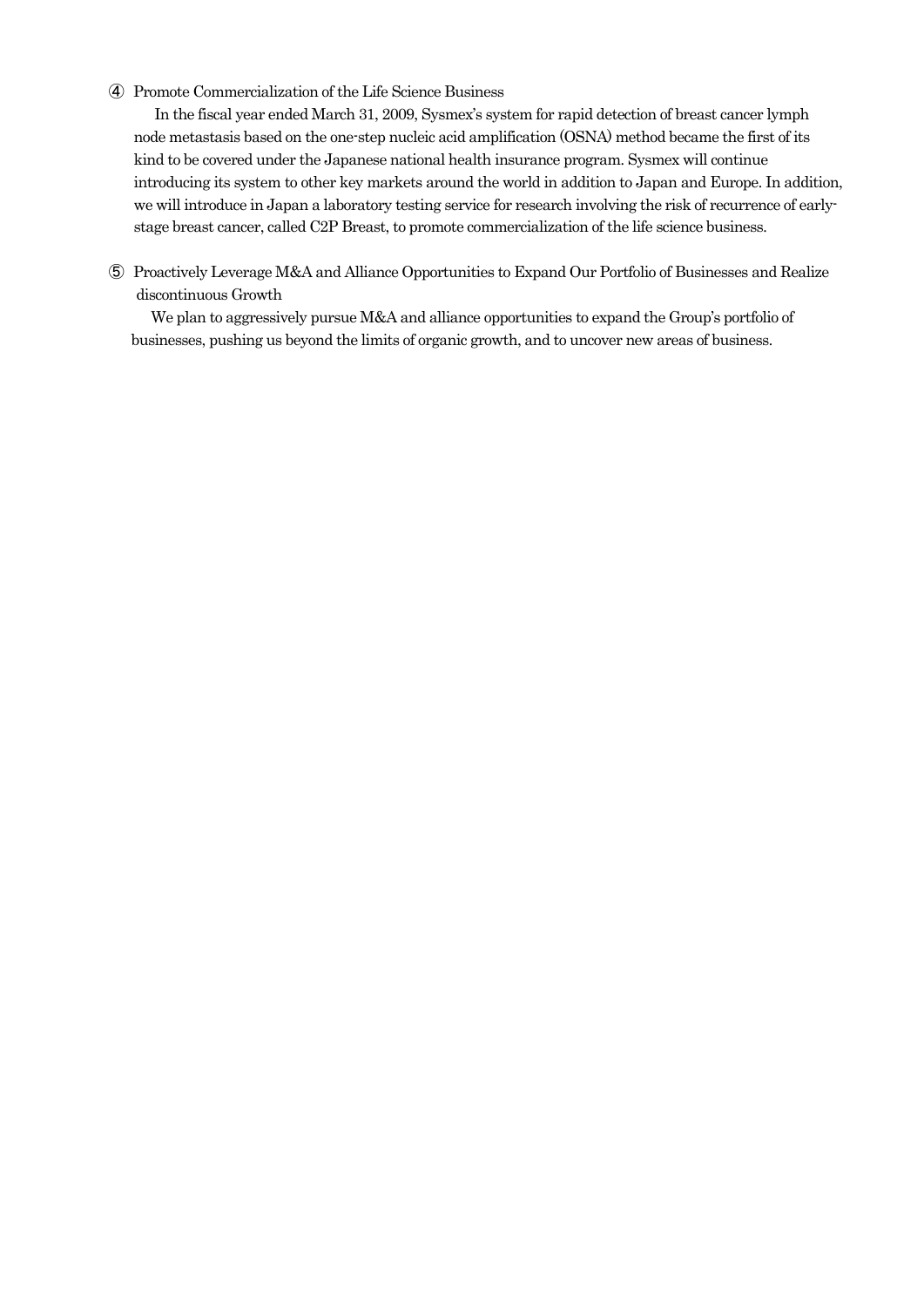# ④ Promote Commercialization of the Life Science Business

In the fiscal year ended March 31, 2009, Sysmex's system for rapid detection of breast cancer lymph node metastasis based on the one-step nucleic acid amplification (OSNA) method became the first of its kind to be covered under the Japanese national health insurance program. Sysmex will continue introducing its system to other key markets around the world in addition to Japan and Europe. In addition, we will introduce in Japan a laboratory testing service for research involving the risk of recurrence of earlystage breast cancer, called C2P Breast, to promote commercialization of the life science business.

⑤ Proactively Leverage M&A and Alliance Opportunities to Expand Our Portfolio of Businesses and Realize discontinuous Growth

We plan to aggressively pursue M&A and alliance opportunities to expand the Group's portfolio of businesses, pushing us beyond the limits of organic growth, and to uncover new areas of business.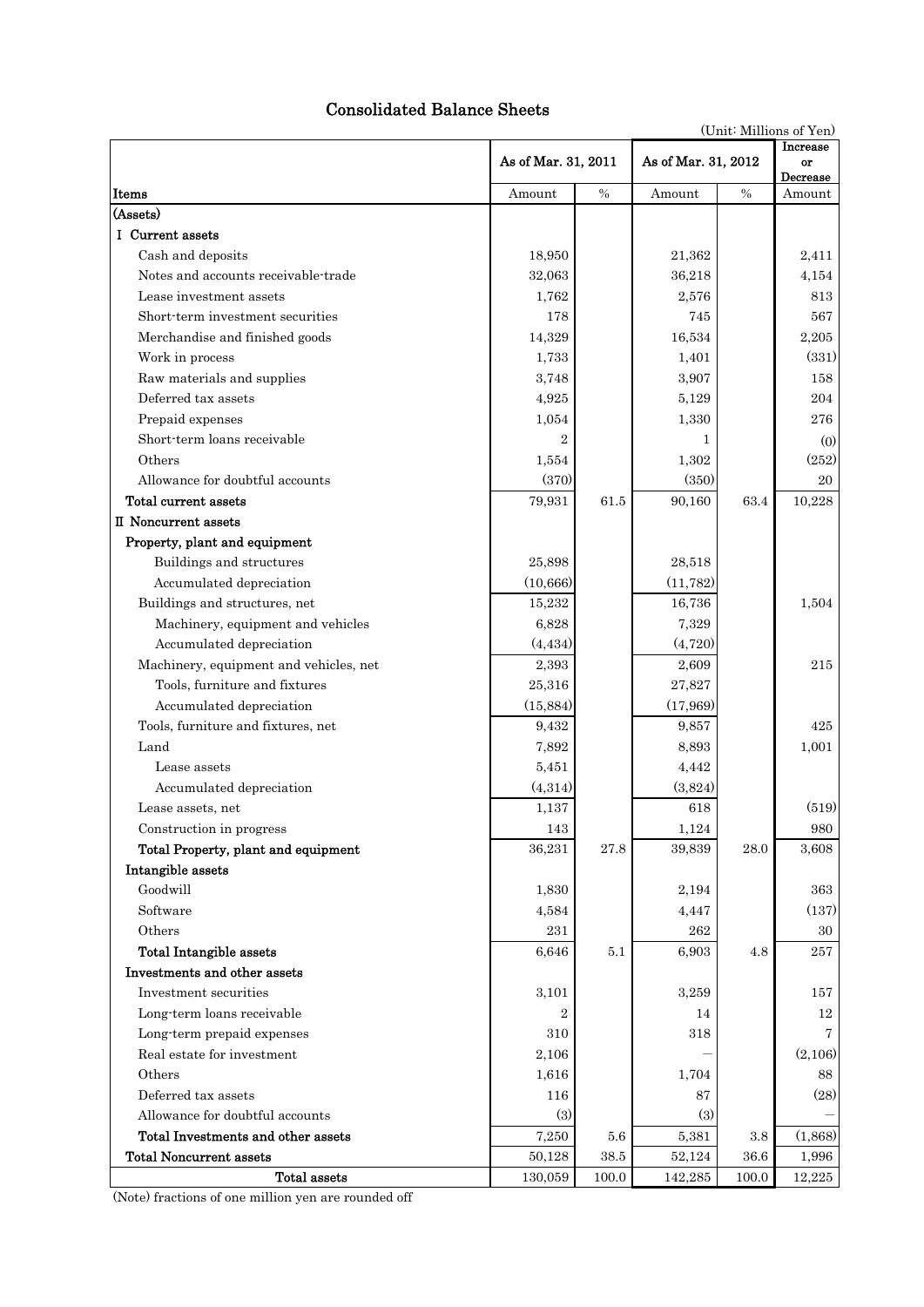# Consolidated Balance Sheets

(Unit: Millions of Yen)

|                                        |                     |          | As of Mar. 31, 2012 |          | Increase       |
|----------------------------------------|---------------------|----------|---------------------|----------|----------------|
|                                        | As of Mar. 31, 2011 |          |                     |          | or<br>Decrease |
| Items                                  | Amount              | $\%$     | Amount              | $\%$     | Amount         |
| (Assets)                               |                     |          |                     |          |                |
| I Current assets                       |                     |          |                     |          |                |
| Cash and deposits                      | 18,950              |          | 21,362              |          | 2,411          |
| Notes and accounts receivable-trade    | 32,063              |          | 36,218              |          | 4,154          |
| Lease investment assets                | 1,762               |          | 2,576               |          | 813            |
| Short-term investment securities       | 178                 |          | 745                 |          | 567            |
| Merchandise and finished goods         | 14,329              |          | 16,534              |          | 2,205          |
| Work in process                        | 1,733               |          | 1,401               |          | (331)          |
| Raw materials and supplies             | 3,748               |          | 3,907               |          | 158            |
| Deferred tax assets                    | 4,925               |          | 5,129               |          | 204            |
| Prepaid expenses                       | 1,054               |          | 1,330               |          | 276            |
| Short-term loans receivable            | $\overline{2}$      |          | 1                   |          | (0)            |
| Others                                 | 1,554               |          | 1,302               |          | (252)          |
| Allowance for doubtful accounts        | (370)               |          | (350)               |          | 20             |
| <b>Total current assets</b>            | 79,931              | 61.5     | 90,160              | 63.4     | 10,228         |
| II Noncurrent assets                   |                     |          |                     |          |                |
| Property, plant and equipment          |                     |          |                     |          |                |
| Buildings and structures               | 25,898              |          | 28,518              |          |                |
| Accumulated depreciation               | (10, 666)           |          | (11, 782)           |          |                |
| Buildings and structures, net          | 15,232              |          | 16,736              |          | 1,504          |
| Machinery, equipment and vehicles      | 6,828               |          | 7,329               |          |                |
| Accumulated depreciation               | (4, 434)            |          | (4,720)             |          |                |
| Machinery, equipment and vehicles, net | 2,393               |          | 2,609               |          | 215            |
| Tools, furniture and fixtures          | 25,316              |          | 27,827              |          |                |
| Accumulated depreciation               | (15, 884)           |          | (17,969)            |          |                |
| Tools, furniture and fixtures, net     | 9,432               |          | 9,857               |          | 425            |
| Land                                   | 7,892               |          | 8,893               |          | 1,001          |
| Lease assets                           | 5,451               |          | 4,442               |          |                |
| Accumulated depreciation               | (4,314)             |          | (3,824)             |          |                |
| Lease assets, net                      | 1,137               |          | 618                 |          | (519)          |
| Construction in progress               | 143                 |          | 1,124               |          | 980            |
| Total Property, plant and equipment    | 36,231              | 27.8     | 39,839              | $28.0\,$ | 3,608          |
| Intangible assets                      |                     |          |                     |          |                |
| Goodwill                               | 1,830               |          | 2,194               |          | 363            |
| Software                               | 4,584               |          | 4,447               |          | (137)          |
| Others                                 | 231                 |          | 262                 |          | 30             |
| Total Intangible assets                | 6,646               | $5.1\,$  | 6,903               | 4.8      | 257            |
| Investments and other assets           |                     |          |                     |          |                |
| Investment securities                  | 3,101               |          | 3,259               |          | 157            |
| Long-term loans receivable             | $\overline{2}$      |          | 14                  |          | 12             |
| Long-term prepaid expenses             | 310                 |          | 318                 |          | 7              |
| Real estate for investment             | 2,106               |          |                     |          | (2,106)        |
| Others                                 | 1,616               |          | 1,704               |          | 88             |
| Deferred tax assets                    | 116                 |          | 87                  |          | (28)           |
| Allowance for doubtful accounts        | (3)                 |          | (3)                 |          |                |
| Total Investments and other assets     | 7,250               | 5.6      | 5,381               | 3.8      | (1,868)        |
| <b>Total Noncurrent assets</b>         | 50,128              | $38.5\,$ | 52,124              | 36.6     | 1,996          |
| Total assets                           | 130,059             | 100.0    | 142,285             | 100.0    | 12,225         |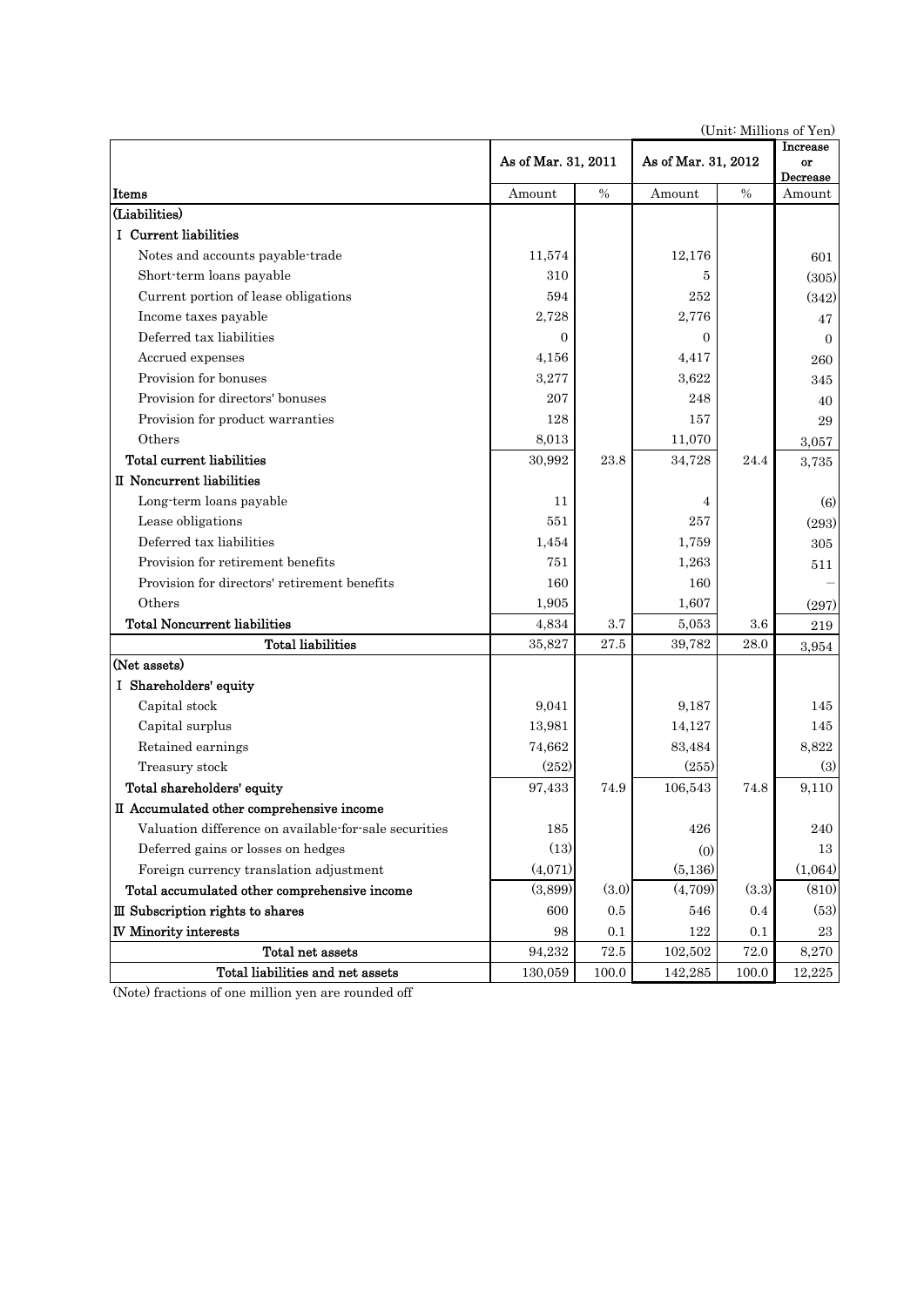|                                                       |                     |               | (OTHE MITHOUS OF THE |               | Increase       |
|-------------------------------------------------------|---------------------|---------------|----------------------|---------------|----------------|
|                                                       | As of Mar. 31, 2011 |               | As of Mar. 31, 2012  |               | or<br>Decrease |
| Items                                                 | Amount              | $\frac{0}{0}$ | Amount               | $\frac{0}{0}$ | Amount         |
| (Liabilities)                                         |                     |               |                      |               |                |
| I Current liabilities                                 |                     |               |                      |               |                |
| Notes and accounts payable-trade                      | 11,574              |               | 12,176               |               | 601            |
| Short-term loans payable                              | 310                 |               | 5                    |               | (305)          |
| Current portion of lease obligations                  | 594                 |               | 252                  |               | (342)          |
| Income taxes payable                                  | 2,728               |               | 2,776                |               | 47             |
| Deferred tax liabilities                              | $\overline{0}$      |               | 0                    |               | $\Omega$       |
| Accrued expenses                                      | 4,156               |               | 4,417                |               | 260            |
| Provision for bonuses                                 | 3,277               |               | 3,622                |               | 345            |
| Provision for directors' bonuses                      | 207                 |               | 248                  |               | 40             |
| Provision for product warranties                      | 128                 |               | 157                  |               | 29             |
| Others                                                | 8,013               |               | 11,070               |               | 3,057          |
| Total current liabilities                             | 30,992              | 23.8          | 34,728               | 24.4          | 3,735          |
| II Noncurrent liabilities                             |                     |               |                      |               |                |
| Long-term loans payable                               | 11                  |               | 4                    |               | (6)            |
| Lease obligations                                     | 551                 |               | 257                  |               | (293)          |
| Deferred tax liabilities                              | 1,454               |               | 1,759                |               | 305            |
| Provision for retirement benefits                     | 751                 |               | 1,263                |               | 511            |
| Provision for directors' retirement benefits          | 160                 |               | 160                  |               |                |
| Others                                                | 1,905               |               | 1,607                |               | (297)          |
| <b>Total Noncurrent liabilities</b>                   | 4,834               | $3.7\,$       | 5,053                | 3.6           | 219            |
| <b>Total liabilities</b>                              | 35,827              | 27.5          | 39,782               | 28.0          | 3,954          |
| (Net assets)                                          |                     |               |                      |               |                |
| I Shareholders' equity                                |                     |               |                      |               |                |
| Capital stock                                         | 9,041               |               | 9,187                |               | 145            |
| Capital surplus                                       | 13,981              |               | 14,127               |               | 145            |
| Retained earnings                                     | 74,662              |               | 83,484               |               | 8,822          |
| Treasury stock                                        | (252)               |               | (255)                |               | (3)            |
| Total shareholders' equity                            | 97,433              | 74.9          | 106,543              | 74.8          | 9,110          |
| II Accumulated other comprehensive income             |                     |               |                      |               |                |
| Valuation difference on available-for-sale securities | 185                 |               | $426\,$              |               | 240            |
| Deferred gains or losses on hedges                    | (13)                |               | (0)                  |               | 13             |
| Foreign currency translation adjustment               | (4,071)             |               | (5,136)              |               | (1,064)        |
| Total accumulated other comprehensive income          | (3,899)             | (3.0)         | (4,709)              | (3.3)         | (810)          |
| III Subscription rights to shares                     | 600                 | 0.5           | 546                  | 0.4           | (53)           |
| <b>IV Minority interests</b>                          | 98                  | 0.1           | 122                  | 0.1           | 23             |
| Total net assets                                      | 94,232              | $72.5\,$      | 102,502              | 72.0          | 8,270          |
| Total liabilities and net assets                      | 130,059             | 100.0         | 142,285              | 100.0         | 12,225         |

(Unit: Millions of Yen)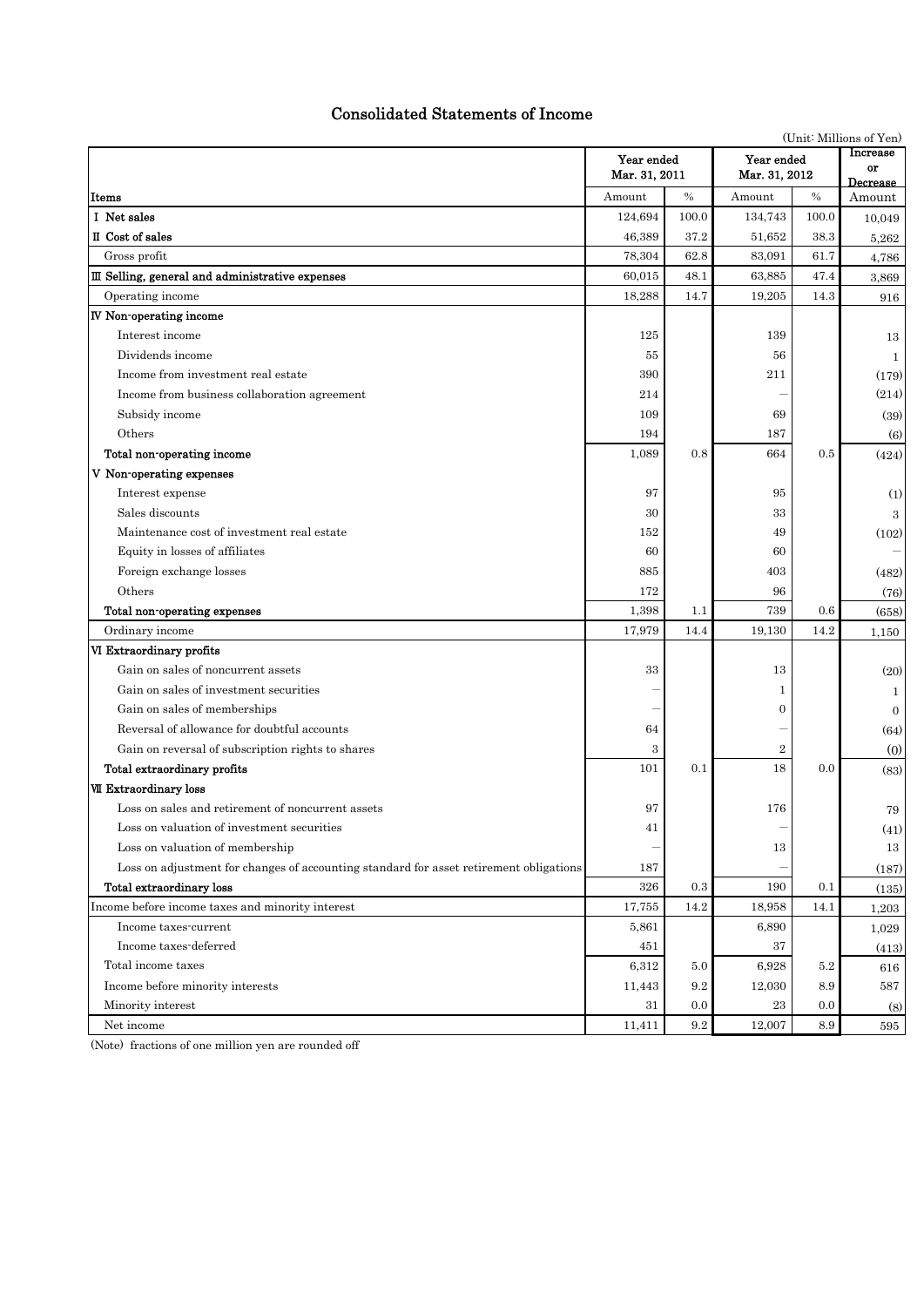# Consolidated Statements of Income

|                                                                                        |                             |         | (Unit: Millions of Yen)     |                            |                |
|----------------------------------------------------------------------------------------|-----------------------------|---------|-----------------------------|----------------------------|----------------|
|                                                                                        | Year ended<br>Mar. 31, 2011 |         | Year ended<br>Mar. 31, 2012 | Increase<br>or<br>Decrease |                |
| Items                                                                                  | Amount                      | $\%$    | Amount                      | $\%$                       | Amount         |
| I Net sales                                                                            | 124,694                     | 100.0   | 134,743                     | $100.0\,$                  | 10,049         |
| II Cost of sales                                                                       | 46,389                      | 37.2    | 51,652                      | 38.3                       | 5,262          |
| Gross profit                                                                           | 78,304                      | 62.8    | 83,091                      | 61.7                       | 4,786          |
| III Selling, general and administrative expenses                                       | 60,015                      | 48.1    | 63,885                      | 47.4                       | 3,869          |
| Operating income                                                                       | 18,288                      | 14.7    | 19,205                      | 14.3                       | 916            |
| <b>IV</b> Non-operating income                                                         |                             |         |                             |                            |                |
| Interest income                                                                        | 125                         |         | 139                         |                            | 13             |
| Dividends income                                                                       | 55                          |         | 56                          |                            | $\mathbf{1}$   |
| Income from investment real estate                                                     | 390                         |         | 211                         |                            | (179)          |
| Income from business collaboration agreement                                           | 214                         |         |                             |                            | (214)          |
| Subsidy income                                                                         | 109                         |         | 69                          |                            | (39)           |
| Others                                                                                 | 194                         |         | 187                         |                            | (6)            |
| Total non-operating income                                                             | 1,089                       | 0.8     | 664                         | 0.5                        | (424)          |
| V Non-operating expenses                                                               |                             |         |                             |                            |                |
| Interest expense                                                                       | 97                          |         | 95                          |                            | (1)            |
| Sales discounts                                                                        | 30                          |         | 33                          |                            | 3              |
| Maintenance cost of investment real estate                                             | 152                         |         | 49                          |                            | (102)          |
| Equity in losses of affiliates                                                         | 60                          |         | 60                          |                            |                |
| Foreign exchange losses                                                                | 885                         |         | 403                         |                            | (482)          |
| Others                                                                                 | 172                         |         | 96                          |                            | (76)           |
| Total non-operating expenses                                                           | 1,398                       | 1.1     | 739                         | 0.6                        | (658)          |
| Ordinary income                                                                        | 17,979                      | 14.4    | 19,130                      | 14.2                       | 1,150          |
| VI Extraordinary profits                                                               |                             |         |                             |                            |                |
| Gain on sales of noncurrent assets                                                     | 33                          |         | 13                          |                            | (20)           |
| Gain on sales of investment securities                                                 |                             |         | 1                           |                            | $\mathbf{1}$   |
| Gain on sales of memberships                                                           |                             |         | 0                           |                            | $\overline{0}$ |
| Reversal of allowance for doubtful accounts                                            | 64                          |         |                             |                            | (64)           |
| Gain on reversal of subscription rights to shares                                      | 3                           |         | $\boldsymbol{2}$            |                            | (0)            |
| Total extraordinary profits                                                            | 101                         | 0.1     | 18                          | 0.0                        | (83)           |
| <b>VII Extraordinary loss</b>                                                          |                             |         |                             |                            |                |
| Loss on sales and retirement of noncurrent assets                                      | 97                          |         | 176                         |                            | 79             |
| Loss on valuation of investment securities                                             | 41                          |         |                             |                            | (41)           |
| Loss on valuation of membership                                                        |                             |         | 13                          |                            | 13             |
| Loss on adjustment for changes of accounting standard for asset retirement obligations | 187                         |         |                             |                            | (187)          |
| Total extraordinary loss                                                               | 326                         | $0.3\,$ | 190                         | 0.1                        | (135)          |
| Income before income taxes and minority interest                                       | 17,755                      | 14.2    | 18,958                      | 14.1                       | 1,203          |
| Income taxes-current                                                                   | 5,861                       |         | 6,890                       |                            | 1,029          |
| Income taxes-deferred                                                                  | 451                         |         | 37                          |                            | (413)          |
| Total income taxes                                                                     | 6,312                       | 5.0     | 6,928                       | 5.2                        | 616            |
| Income before minority interests                                                       | 11,443                      | 9.2     | 12,030                      | 8.9                        | 587            |
| Minority interest                                                                      | 31                          | 0.0     | 23                          | 0.0                        | (8)            |
| Net income                                                                             | 11,411                      | 9.2     | 12,007                      | 8.9                        | 595            |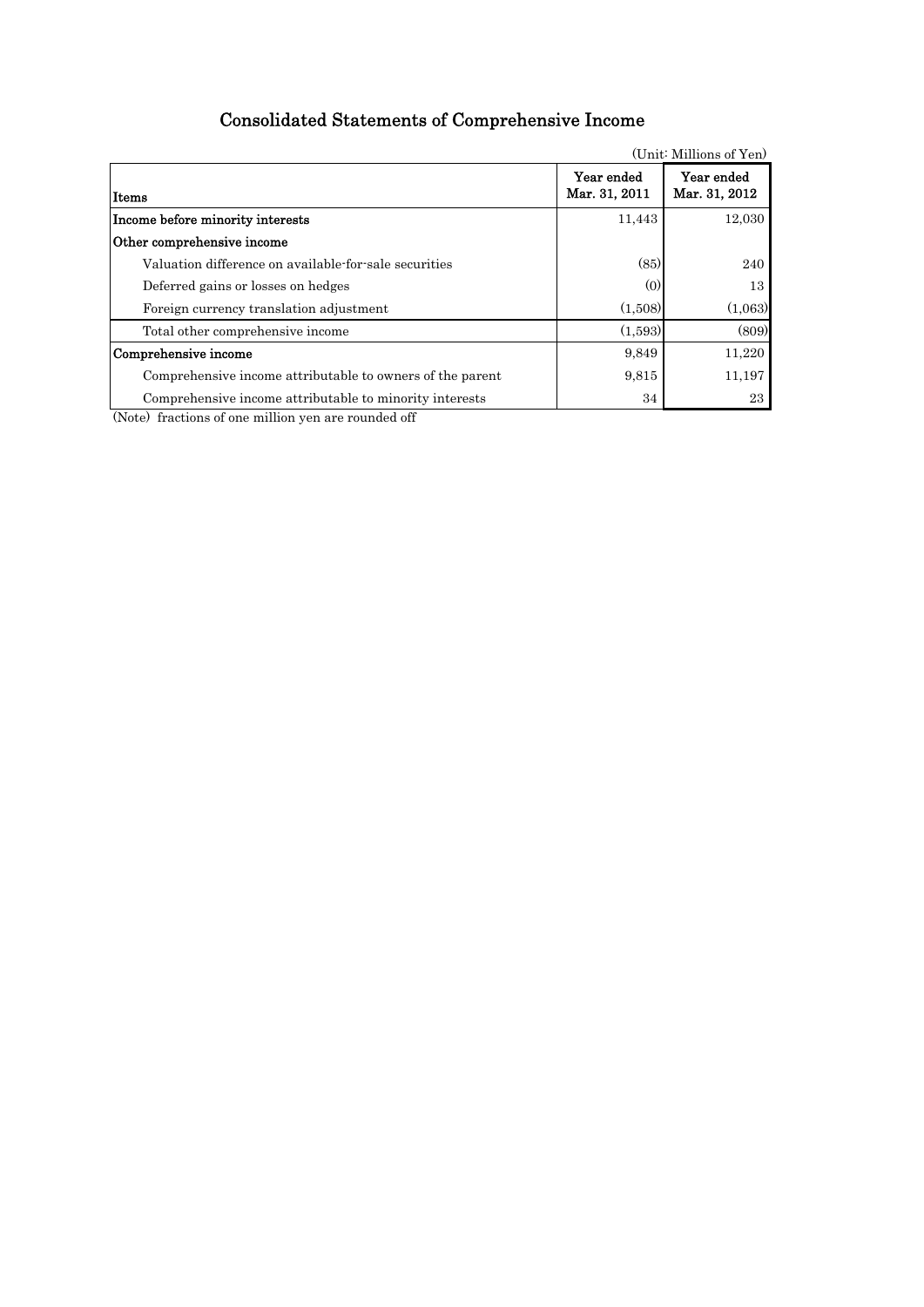# Consolidated Statements of Comprehensive Income

|                                                           |                             | (Unit: Millions of Yen)     |
|-----------------------------------------------------------|-----------------------------|-----------------------------|
| lItems                                                    | Year ended<br>Mar. 31, 2011 | Year ended<br>Mar. 31, 2012 |
| Income before minority interests                          | 11,443                      | 12,030                      |
| Other comprehensive income                                |                             |                             |
| Valuation difference on available-for-sale securities     | (85)                        | 240                         |
| Deferred gains or losses on hedges                        | (0)                         | 13                          |
| Foreign currency translation adjustment                   | (1,508)                     | (1,063)                     |
| Total other comprehensive income                          | (1,593)                     | (809)                       |
| Comprehensive income                                      | 9,849                       | 11,220                      |
| Comprehensive income attributable to owners of the parent | 9.815                       | 11,197                      |
| Comprehensive income attributable to minority interests   | 34                          | 23                          |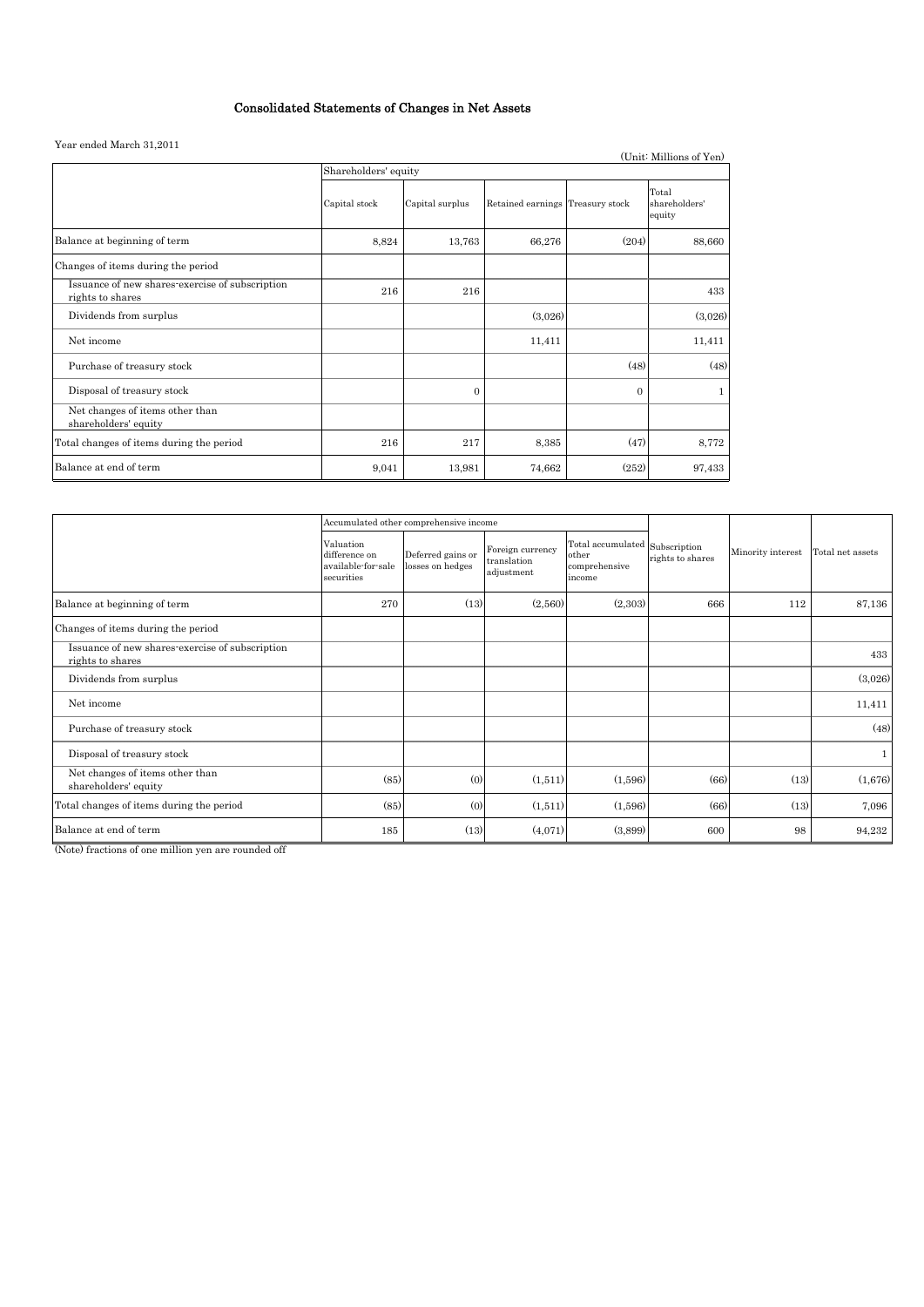# Consolidated Statements of Changes in Net Assets

#### Year ended March 31,2011

| real ended march 31,2011                                            |                      |                 |                                  |          | (Unit: Millions of Yen)          |  |  |
|---------------------------------------------------------------------|----------------------|-----------------|----------------------------------|----------|----------------------------------|--|--|
|                                                                     | Shareholders' equity |                 |                                  |          |                                  |  |  |
|                                                                     | Capital stock        | Capital surplus | Retained earnings Treasury stock |          | Total<br>shareholders'<br>equity |  |  |
| Balance at beginning of term                                        | 8,824                | 13,763          | 66,276                           | (204)    | 88,660                           |  |  |
| Changes of items during the period                                  |                      |                 |                                  |          |                                  |  |  |
| Issuance of new shares-exercise of subscription<br>rights to shares | 216                  | 216             |                                  |          | 433                              |  |  |
| Dividends from surplus                                              |                      |                 | (3,026)                          |          | (3,026)                          |  |  |
| Net income                                                          |                      |                 | 11,411                           |          | 11,411                           |  |  |
| Purchase of treasury stock                                          |                      |                 |                                  | (48)     | (48)                             |  |  |
| Disposal of treasury stock                                          |                      | $\Omega$        |                                  | $\Omega$ | $\mathbf{1}$                     |  |  |
| Net changes of items other than<br>shareholders' equity             |                      |                 |                                  |          |                                  |  |  |
| Total changes of items during the period                            | 216                  | 217             | 8,385                            | (47)     | 8,772                            |  |  |
| Balance at end of term                                              | 9,041                | 13,981          | 74,662                           | (252)    | 97,433                           |  |  |

|                                                                     |                                                                | Accumulated other comprehensive income |                                               |                                                                    |                  |                   |                  |
|---------------------------------------------------------------------|----------------------------------------------------------------|----------------------------------------|-----------------------------------------------|--------------------------------------------------------------------|------------------|-------------------|------------------|
|                                                                     | Valuation<br>difference on<br>available-for-sale<br>securities | Deferred gains or<br>losses on hedges  | Foreign currency<br>translation<br>adjustment | Total accumulated Subscription<br>other<br>comprehensive<br>income | rights to shares | Minority interest | Total net assets |
| Balance at beginning of term                                        | 270                                                            | (13)                                   | (2,560)                                       | (2,303)                                                            | 666              | 112               | 87,136           |
| Changes of items during the period                                  |                                                                |                                        |                                               |                                                                    |                  |                   |                  |
| Issuance of new shares-exercise of subscription<br>rights to shares |                                                                |                                        |                                               |                                                                    |                  |                   | 433              |
| Dividends from surplus                                              |                                                                |                                        |                                               |                                                                    |                  |                   | (3,026)          |
| Net income                                                          |                                                                |                                        |                                               |                                                                    |                  |                   | 11,411           |
| Purchase of treasury stock                                          |                                                                |                                        |                                               |                                                                    |                  |                   | (48)             |
| Disposal of treasury stock                                          |                                                                |                                        |                                               |                                                                    |                  |                   |                  |
| Net changes of items other than<br>shareholders' equity             | (85)                                                           | (0)                                    | (1,511)                                       | (1,596)                                                            | (66)             | (13)              | (1,676)          |
| Total changes of items during the period                            | (85)                                                           | (0)                                    | (1,511)                                       | (1,596)                                                            | (66)             | (13)              | 7,096            |
| Balance at end of term                                              | 185                                                            | (13)                                   | (4,071)                                       | (3,899)                                                            | 600              | 98                | 94,232           |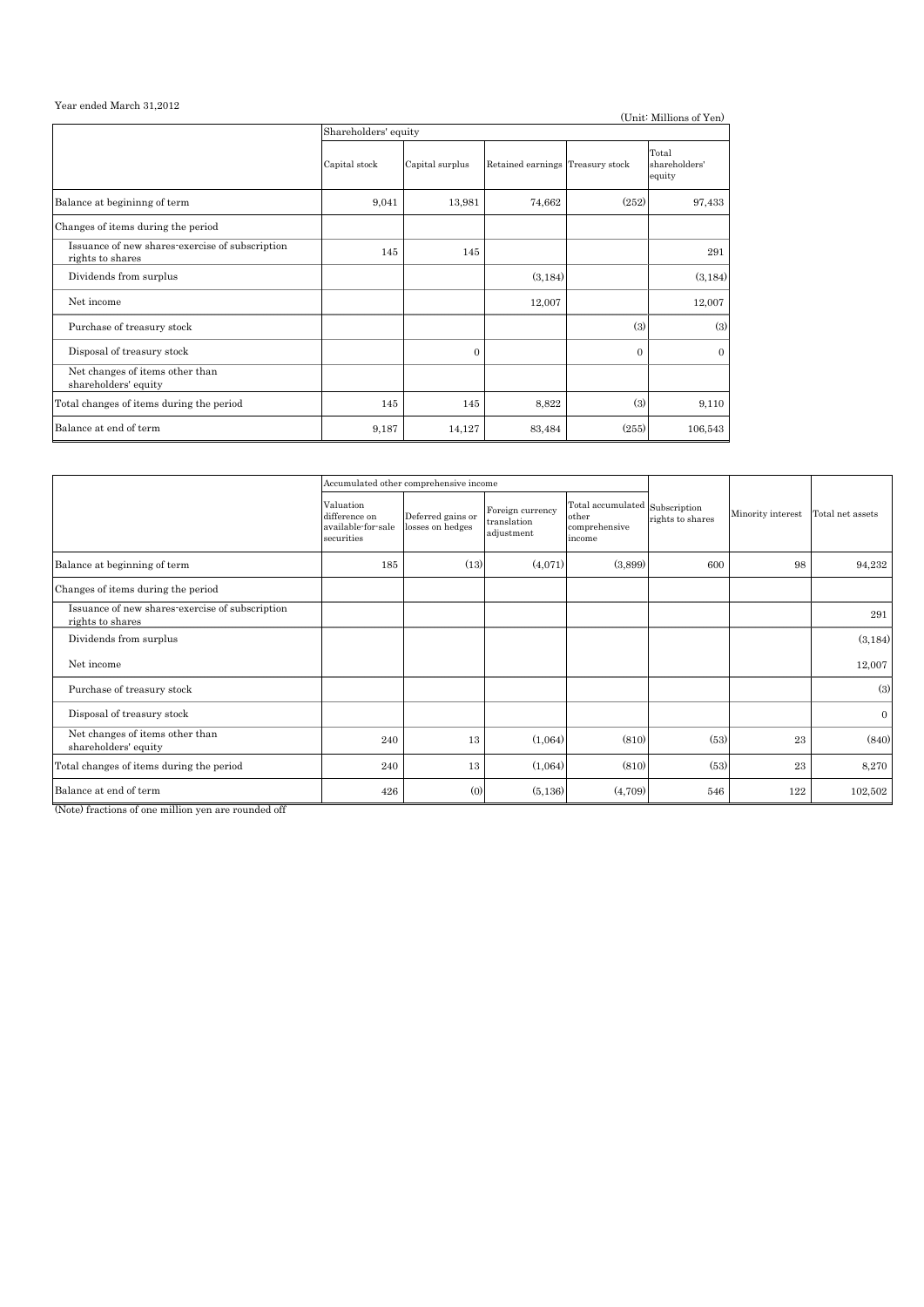#### Year ended March 31,2012

|                                                                     |                      |                 |                                  |          | (Unit: Millions of Yen)          |  |  |  |
|---------------------------------------------------------------------|----------------------|-----------------|----------------------------------|----------|----------------------------------|--|--|--|
|                                                                     | Shareholders' equity |                 |                                  |          |                                  |  |  |  |
|                                                                     | Capital stock        | Capital surplus | Retained earnings Treasury stock |          | Total<br>shareholders'<br>equity |  |  |  |
| Balance at begininng of term                                        | 9,041                | 13,981          | 74,662                           | (252)    | 97,433                           |  |  |  |
| Changes of items during the period                                  |                      |                 |                                  |          |                                  |  |  |  |
| Issuance of new shares-exercise of subscription<br>rights to shares | 145                  | 145             |                                  |          | 291                              |  |  |  |
| Dividends from surplus                                              |                      |                 | (3, 184)                         |          | (3, 184)                         |  |  |  |
| Net income                                                          |                      |                 | 12,007                           |          | 12,007                           |  |  |  |
| Purchase of treasury stock                                          |                      |                 |                                  | (3)      | (3)                              |  |  |  |
| Disposal of treasury stock                                          |                      | $\Omega$        |                                  | $\Omega$ | $\Omega$                         |  |  |  |
| Net changes of items other than<br>shareholders' equity             |                      |                 |                                  |          |                                  |  |  |  |
| Total changes of items during the period                            | 145                  | 145             | 8,822                            | (3)      | 9,110                            |  |  |  |
| Balance at end of term                                              | 9,187                | 14,127          | 83,484                           | (255)    | 106,543                          |  |  |  |

|                                                                     |                                                                | Accumulated other comprehensive income |                                               |                                                                    |                  |                   |                  |
|---------------------------------------------------------------------|----------------------------------------------------------------|----------------------------------------|-----------------------------------------------|--------------------------------------------------------------------|------------------|-------------------|------------------|
|                                                                     | Valuation<br>difference on<br>available-for-sale<br>securities | Deferred gains or<br>losses on hedges  | Foreign currency<br>translation<br>adjustment | Total accumulated Subscription<br>other<br>comprehensive<br>income | rights to shares | Minority interest | Total net assets |
| Balance at beginning of term                                        | 185                                                            | (13)                                   | (4,071)                                       | (3,899)                                                            | 600              | 98                | 94,232           |
| Changes of items during the period                                  |                                                                |                                        |                                               |                                                                    |                  |                   |                  |
| Issuance of new shares-exercise of subscription<br>rights to shares |                                                                |                                        |                                               |                                                                    |                  |                   | 291              |
| Dividends from surplus                                              |                                                                |                                        |                                               |                                                                    |                  |                   | (3, 184)         |
| Net income                                                          |                                                                |                                        |                                               |                                                                    |                  |                   | 12,007           |
| Purchase of treasury stock                                          |                                                                |                                        |                                               |                                                                    |                  |                   | (3)              |
| Disposal of treasury stock                                          |                                                                |                                        |                                               |                                                                    |                  |                   | $\overline{0}$   |
| Net changes of items other than<br>shareholders' equity             | 240                                                            | 13                                     | (1,064)                                       | (810)                                                              | (53)             | 23                | (840)            |
| Total changes of items during the period                            | 240                                                            | 13                                     | (1,064)                                       | (810)                                                              | (53)             | 23                | 8,270            |
| Balance at end of term                                              | 426                                                            | (0)                                    | (5, 136)                                      | (4,709)                                                            | 546              | 122               | 102,502          |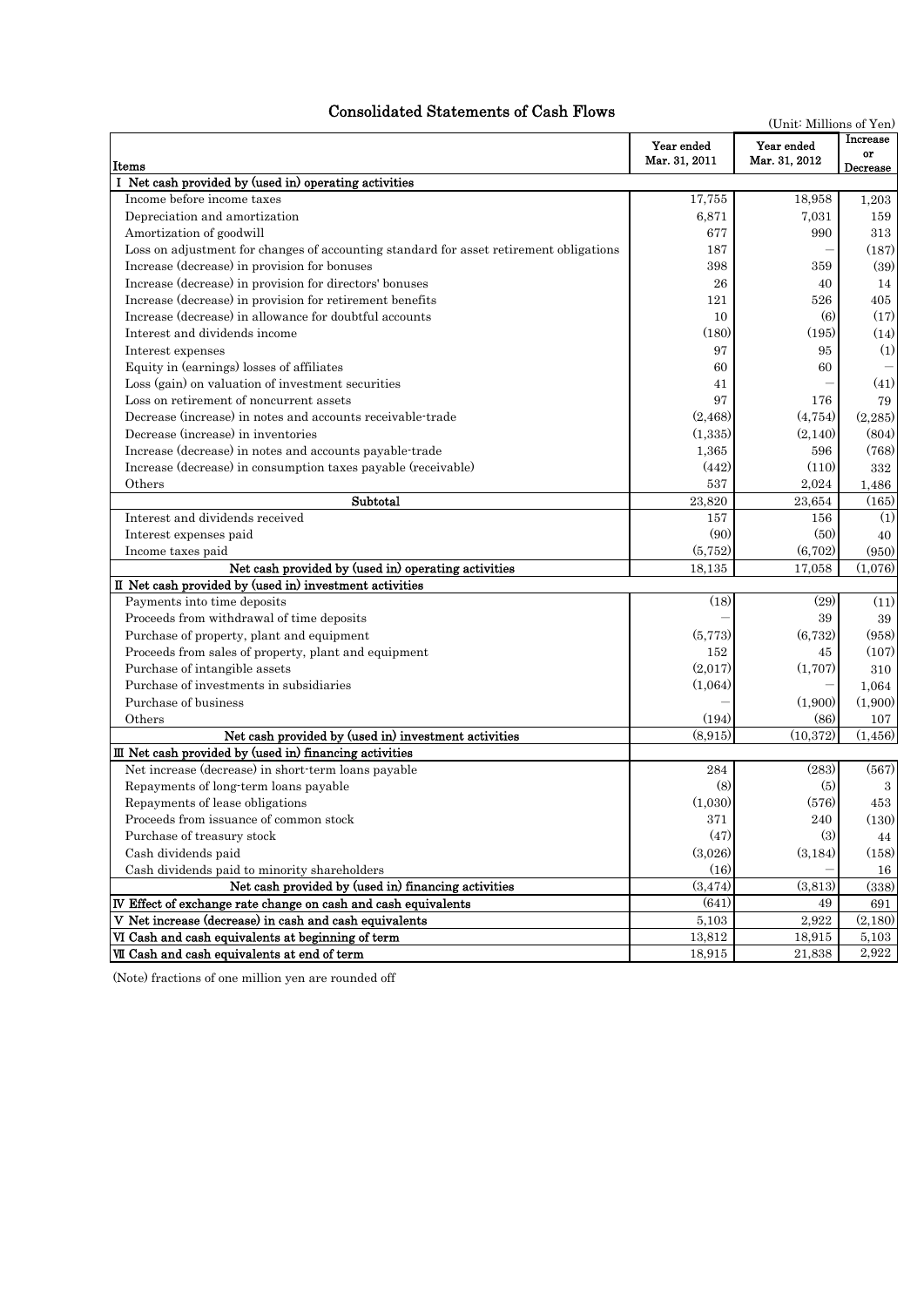# Consolidated Statements of Cash Flows

| Increase<br>Year ended<br>Year ended<br>or<br>Mar. 31, 2011<br>Mar. 31, 2012<br>Items<br>Decrease<br>I Net cash provided by (used in) operating activities<br>Income before income taxes<br>17,755<br>18,958<br>1,203<br>Depreciation and amortization<br>6,871<br>7,031<br>159<br>Amortization of goodwill<br>677<br>990<br>313<br>Loss on adjustment for changes of accounting standard for asset retirement obligations<br>187<br>(187)<br>Increase (decrease) in provision for bonuses<br>398<br>359<br>(39)<br>Increase (decrease) in provision for directors' bonuses<br>26<br>40<br>14<br>Increase (decrease) in provision for retirement benefits<br>121<br>526<br>405<br>Increase (decrease) in allowance for doubtful accounts<br>(6)<br>(17)<br>10<br>Interest and dividends income<br>(180)<br>(14)<br>(195)<br>97<br>95<br>(1)<br>Interest expenses<br>Equity in (earnings) losses of affiliates<br>60<br>60<br>Loss (gain) on valuation of investment securities<br>(41)<br>41<br>Loss on retirement of noncurrent assets<br>97<br>176<br>79<br>Decrease (increase) in notes and accounts receivable-trade<br>(2, 468)<br>(4,754)<br>(2,285)<br>Decrease (increase) in inventories<br>(1,335)<br>(2,140)<br>(804)<br>Increase (decrease) in notes and accounts payable-trade<br>1,365<br>596<br>(768)<br>Increase (decrease) in consumption taxes payable (receivable)<br>(442)<br>(110)<br>332<br>537<br>Others<br>2,024<br>1,486<br>Subtotal<br>23.820<br>23,654<br>(165)<br>Interest and dividends received<br>157<br>156<br>(1)<br>(90)<br>(50)<br>Interest expenses paid<br>40<br>(5, 752)<br>(6,702)<br>Income taxes paid<br>(950)<br>Net cash provided by (used in) operating activities<br>18,135<br>17,058<br>(1,076)<br>II Net cash provided by (used in) investment activities<br>(18)<br>(29)<br>(11)<br>Payments into time deposits<br>Proceeds from withdrawal of time deposits<br>39<br>39<br>Purchase of property, plant and equipment<br>(5,773)<br>(6,732)<br>(958)<br>Proceeds from sales of property, plant and equipment<br>152<br>(107)<br>45<br>(2,017)<br>(1,707)<br>Purchase of intangible assets<br>310<br>Purchase of investments in subsidiaries<br>(1,064)<br>1,064<br>Purchase of business<br>(1,900)<br>(1,900)<br>(86)<br>Others<br>(194)<br>107<br>Net cash provided by (used in) investment activities<br>(8.915)<br>(10, 372)<br>(1, 456)<br>III Net cash provided by (used in) financing activities<br>Net increase (decrease) in short-term loans payable<br>284<br>(283)<br>(567)<br>(8)<br>Repayments of long-term loans payable<br>(5)<br>3<br>(1.030)<br>(576)<br>Repayments of lease obligations<br>453<br>Proceeds from issuance of common stock<br>371<br>240<br>(130)<br>Purchase of treasury stock<br>(47)<br>(3)<br>44<br>Cash dividends paid<br>(3,026)<br>(3,184)<br>(158)<br>(16)<br>Cash dividends paid to minority shareholders<br>16<br>Net cash provided by (used in) financing activities<br>(3,813)<br>(3, 474)<br>(338)<br>IV Effect of exchange rate change on cash and cash equivalents<br>(641)<br>49<br>691<br>V Net increase (decrease) in cash and cash equivalents<br>2,922<br>5,103<br>(2,180)<br>VI Cash and cash equivalents at beginning of term<br>13,812<br>5,103<br>18,915<br>VII Cash and cash equivalents at end of term<br>2,922<br>18,915<br>21,838 | sonuateu istatements of | (Unit: Millions of Yen) |  |
|----------------------------------------------------------------------------------------------------------------------------------------------------------------------------------------------------------------------------------------------------------------------------------------------------------------------------------------------------------------------------------------------------------------------------------------------------------------------------------------------------------------------------------------------------------------------------------------------------------------------------------------------------------------------------------------------------------------------------------------------------------------------------------------------------------------------------------------------------------------------------------------------------------------------------------------------------------------------------------------------------------------------------------------------------------------------------------------------------------------------------------------------------------------------------------------------------------------------------------------------------------------------------------------------------------------------------------------------------------------------------------------------------------------------------------------------------------------------------------------------------------------------------------------------------------------------------------------------------------------------------------------------------------------------------------------------------------------------------------------------------------------------------------------------------------------------------------------------------------------------------------------------------------------------------------------------------------------------------------------------------------------------------------------------------------------------------------------------------------------------------------------------------------------------------------------------------------------------------------------------------------------------------------------------------------------------------------------------------------------------------------------------------------------------------------------------------------------------------------------------------------------------------------------------------------------------------------------------------------------------------------------------------------------------------------------------------------------------------------------------------------------------------------------------------------------------------------------------------------------------------------------------------------------------------------------------------------------------------------------------------------------------------------------------------------------------------------------------------------------------------------------------------------------------------------------------------------------------------------------------------------------------------------------------------------------------------------------------|-------------------------|-------------------------|--|
|                                                                                                                                                                                                                                                                                                                                                                                                                                                                                                                                                                                                                                                                                                                                                                                                                                                                                                                                                                                                                                                                                                                                                                                                                                                                                                                                                                                                                                                                                                                                                                                                                                                                                                                                                                                                                                                                                                                                                                                                                                                                                                                                                                                                                                                                                                                                                                                                                                                                                                                                                                                                                                                                                                                                                                                                                                                                                                                                                                                                                                                                                                                                                                                                                                                                                                                                              |                         |                         |  |
|                                                                                                                                                                                                                                                                                                                                                                                                                                                                                                                                                                                                                                                                                                                                                                                                                                                                                                                                                                                                                                                                                                                                                                                                                                                                                                                                                                                                                                                                                                                                                                                                                                                                                                                                                                                                                                                                                                                                                                                                                                                                                                                                                                                                                                                                                                                                                                                                                                                                                                                                                                                                                                                                                                                                                                                                                                                                                                                                                                                                                                                                                                                                                                                                                                                                                                                                              |                         |                         |  |
|                                                                                                                                                                                                                                                                                                                                                                                                                                                                                                                                                                                                                                                                                                                                                                                                                                                                                                                                                                                                                                                                                                                                                                                                                                                                                                                                                                                                                                                                                                                                                                                                                                                                                                                                                                                                                                                                                                                                                                                                                                                                                                                                                                                                                                                                                                                                                                                                                                                                                                                                                                                                                                                                                                                                                                                                                                                                                                                                                                                                                                                                                                                                                                                                                                                                                                                                              |                         |                         |  |
|                                                                                                                                                                                                                                                                                                                                                                                                                                                                                                                                                                                                                                                                                                                                                                                                                                                                                                                                                                                                                                                                                                                                                                                                                                                                                                                                                                                                                                                                                                                                                                                                                                                                                                                                                                                                                                                                                                                                                                                                                                                                                                                                                                                                                                                                                                                                                                                                                                                                                                                                                                                                                                                                                                                                                                                                                                                                                                                                                                                                                                                                                                                                                                                                                                                                                                                                              |                         |                         |  |
|                                                                                                                                                                                                                                                                                                                                                                                                                                                                                                                                                                                                                                                                                                                                                                                                                                                                                                                                                                                                                                                                                                                                                                                                                                                                                                                                                                                                                                                                                                                                                                                                                                                                                                                                                                                                                                                                                                                                                                                                                                                                                                                                                                                                                                                                                                                                                                                                                                                                                                                                                                                                                                                                                                                                                                                                                                                                                                                                                                                                                                                                                                                                                                                                                                                                                                                                              |                         |                         |  |
|                                                                                                                                                                                                                                                                                                                                                                                                                                                                                                                                                                                                                                                                                                                                                                                                                                                                                                                                                                                                                                                                                                                                                                                                                                                                                                                                                                                                                                                                                                                                                                                                                                                                                                                                                                                                                                                                                                                                                                                                                                                                                                                                                                                                                                                                                                                                                                                                                                                                                                                                                                                                                                                                                                                                                                                                                                                                                                                                                                                                                                                                                                                                                                                                                                                                                                                                              |                         |                         |  |
|                                                                                                                                                                                                                                                                                                                                                                                                                                                                                                                                                                                                                                                                                                                                                                                                                                                                                                                                                                                                                                                                                                                                                                                                                                                                                                                                                                                                                                                                                                                                                                                                                                                                                                                                                                                                                                                                                                                                                                                                                                                                                                                                                                                                                                                                                                                                                                                                                                                                                                                                                                                                                                                                                                                                                                                                                                                                                                                                                                                                                                                                                                                                                                                                                                                                                                                                              |                         |                         |  |
|                                                                                                                                                                                                                                                                                                                                                                                                                                                                                                                                                                                                                                                                                                                                                                                                                                                                                                                                                                                                                                                                                                                                                                                                                                                                                                                                                                                                                                                                                                                                                                                                                                                                                                                                                                                                                                                                                                                                                                                                                                                                                                                                                                                                                                                                                                                                                                                                                                                                                                                                                                                                                                                                                                                                                                                                                                                                                                                                                                                                                                                                                                                                                                                                                                                                                                                                              |                         |                         |  |
|                                                                                                                                                                                                                                                                                                                                                                                                                                                                                                                                                                                                                                                                                                                                                                                                                                                                                                                                                                                                                                                                                                                                                                                                                                                                                                                                                                                                                                                                                                                                                                                                                                                                                                                                                                                                                                                                                                                                                                                                                                                                                                                                                                                                                                                                                                                                                                                                                                                                                                                                                                                                                                                                                                                                                                                                                                                                                                                                                                                                                                                                                                                                                                                                                                                                                                                                              |                         |                         |  |
|                                                                                                                                                                                                                                                                                                                                                                                                                                                                                                                                                                                                                                                                                                                                                                                                                                                                                                                                                                                                                                                                                                                                                                                                                                                                                                                                                                                                                                                                                                                                                                                                                                                                                                                                                                                                                                                                                                                                                                                                                                                                                                                                                                                                                                                                                                                                                                                                                                                                                                                                                                                                                                                                                                                                                                                                                                                                                                                                                                                                                                                                                                                                                                                                                                                                                                                                              |                         |                         |  |
|                                                                                                                                                                                                                                                                                                                                                                                                                                                                                                                                                                                                                                                                                                                                                                                                                                                                                                                                                                                                                                                                                                                                                                                                                                                                                                                                                                                                                                                                                                                                                                                                                                                                                                                                                                                                                                                                                                                                                                                                                                                                                                                                                                                                                                                                                                                                                                                                                                                                                                                                                                                                                                                                                                                                                                                                                                                                                                                                                                                                                                                                                                                                                                                                                                                                                                                                              |                         |                         |  |
|                                                                                                                                                                                                                                                                                                                                                                                                                                                                                                                                                                                                                                                                                                                                                                                                                                                                                                                                                                                                                                                                                                                                                                                                                                                                                                                                                                                                                                                                                                                                                                                                                                                                                                                                                                                                                                                                                                                                                                                                                                                                                                                                                                                                                                                                                                                                                                                                                                                                                                                                                                                                                                                                                                                                                                                                                                                                                                                                                                                                                                                                                                                                                                                                                                                                                                                                              |                         |                         |  |
|                                                                                                                                                                                                                                                                                                                                                                                                                                                                                                                                                                                                                                                                                                                                                                                                                                                                                                                                                                                                                                                                                                                                                                                                                                                                                                                                                                                                                                                                                                                                                                                                                                                                                                                                                                                                                                                                                                                                                                                                                                                                                                                                                                                                                                                                                                                                                                                                                                                                                                                                                                                                                                                                                                                                                                                                                                                                                                                                                                                                                                                                                                                                                                                                                                                                                                                                              |                         |                         |  |
|                                                                                                                                                                                                                                                                                                                                                                                                                                                                                                                                                                                                                                                                                                                                                                                                                                                                                                                                                                                                                                                                                                                                                                                                                                                                                                                                                                                                                                                                                                                                                                                                                                                                                                                                                                                                                                                                                                                                                                                                                                                                                                                                                                                                                                                                                                                                                                                                                                                                                                                                                                                                                                                                                                                                                                                                                                                                                                                                                                                                                                                                                                                                                                                                                                                                                                                                              |                         |                         |  |
|                                                                                                                                                                                                                                                                                                                                                                                                                                                                                                                                                                                                                                                                                                                                                                                                                                                                                                                                                                                                                                                                                                                                                                                                                                                                                                                                                                                                                                                                                                                                                                                                                                                                                                                                                                                                                                                                                                                                                                                                                                                                                                                                                                                                                                                                                                                                                                                                                                                                                                                                                                                                                                                                                                                                                                                                                                                                                                                                                                                                                                                                                                                                                                                                                                                                                                                                              |                         |                         |  |
|                                                                                                                                                                                                                                                                                                                                                                                                                                                                                                                                                                                                                                                                                                                                                                                                                                                                                                                                                                                                                                                                                                                                                                                                                                                                                                                                                                                                                                                                                                                                                                                                                                                                                                                                                                                                                                                                                                                                                                                                                                                                                                                                                                                                                                                                                                                                                                                                                                                                                                                                                                                                                                                                                                                                                                                                                                                                                                                                                                                                                                                                                                                                                                                                                                                                                                                                              |                         |                         |  |
|                                                                                                                                                                                                                                                                                                                                                                                                                                                                                                                                                                                                                                                                                                                                                                                                                                                                                                                                                                                                                                                                                                                                                                                                                                                                                                                                                                                                                                                                                                                                                                                                                                                                                                                                                                                                                                                                                                                                                                                                                                                                                                                                                                                                                                                                                                                                                                                                                                                                                                                                                                                                                                                                                                                                                                                                                                                                                                                                                                                                                                                                                                                                                                                                                                                                                                                                              |                         |                         |  |
|                                                                                                                                                                                                                                                                                                                                                                                                                                                                                                                                                                                                                                                                                                                                                                                                                                                                                                                                                                                                                                                                                                                                                                                                                                                                                                                                                                                                                                                                                                                                                                                                                                                                                                                                                                                                                                                                                                                                                                                                                                                                                                                                                                                                                                                                                                                                                                                                                                                                                                                                                                                                                                                                                                                                                                                                                                                                                                                                                                                                                                                                                                                                                                                                                                                                                                                                              |                         |                         |  |
|                                                                                                                                                                                                                                                                                                                                                                                                                                                                                                                                                                                                                                                                                                                                                                                                                                                                                                                                                                                                                                                                                                                                                                                                                                                                                                                                                                                                                                                                                                                                                                                                                                                                                                                                                                                                                                                                                                                                                                                                                                                                                                                                                                                                                                                                                                                                                                                                                                                                                                                                                                                                                                                                                                                                                                                                                                                                                                                                                                                                                                                                                                                                                                                                                                                                                                                                              |                         |                         |  |
|                                                                                                                                                                                                                                                                                                                                                                                                                                                                                                                                                                                                                                                                                                                                                                                                                                                                                                                                                                                                                                                                                                                                                                                                                                                                                                                                                                                                                                                                                                                                                                                                                                                                                                                                                                                                                                                                                                                                                                                                                                                                                                                                                                                                                                                                                                                                                                                                                                                                                                                                                                                                                                                                                                                                                                                                                                                                                                                                                                                                                                                                                                                                                                                                                                                                                                                                              |                         |                         |  |
|                                                                                                                                                                                                                                                                                                                                                                                                                                                                                                                                                                                                                                                                                                                                                                                                                                                                                                                                                                                                                                                                                                                                                                                                                                                                                                                                                                                                                                                                                                                                                                                                                                                                                                                                                                                                                                                                                                                                                                                                                                                                                                                                                                                                                                                                                                                                                                                                                                                                                                                                                                                                                                                                                                                                                                                                                                                                                                                                                                                                                                                                                                                                                                                                                                                                                                                                              |                         |                         |  |
|                                                                                                                                                                                                                                                                                                                                                                                                                                                                                                                                                                                                                                                                                                                                                                                                                                                                                                                                                                                                                                                                                                                                                                                                                                                                                                                                                                                                                                                                                                                                                                                                                                                                                                                                                                                                                                                                                                                                                                                                                                                                                                                                                                                                                                                                                                                                                                                                                                                                                                                                                                                                                                                                                                                                                                                                                                                                                                                                                                                                                                                                                                                                                                                                                                                                                                                                              |                         |                         |  |
|                                                                                                                                                                                                                                                                                                                                                                                                                                                                                                                                                                                                                                                                                                                                                                                                                                                                                                                                                                                                                                                                                                                                                                                                                                                                                                                                                                                                                                                                                                                                                                                                                                                                                                                                                                                                                                                                                                                                                                                                                                                                                                                                                                                                                                                                                                                                                                                                                                                                                                                                                                                                                                                                                                                                                                                                                                                                                                                                                                                                                                                                                                                                                                                                                                                                                                                                              |                         |                         |  |
|                                                                                                                                                                                                                                                                                                                                                                                                                                                                                                                                                                                                                                                                                                                                                                                                                                                                                                                                                                                                                                                                                                                                                                                                                                                                                                                                                                                                                                                                                                                                                                                                                                                                                                                                                                                                                                                                                                                                                                                                                                                                                                                                                                                                                                                                                                                                                                                                                                                                                                                                                                                                                                                                                                                                                                                                                                                                                                                                                                                                                                                                                                                                                                                                                                                                                                                                              |                         |                         |  |
|                                                                                                                                                                                                                                                                                                                                                                                                                                                                                                                                                                                                                                                                                                                                                                                                                                                                                                                                                                                                                                                                                                                                                                                                                                                                                                                                                                                                                                                                                                                                                                                                                                                                                                                                                                                                                                                                                                                                                                                                                                                                                                                                                                                                                                                                                                                                                                                                                                                                                                                                                                                                                                                                                                                                                                                                                                                                                                                                                                                                                                                                                                                                                                                                                                                                                                                                              |                         |                         |  |
|                                                                                                                                                                                                                                                                                                                                                                                                                                                                                                                                                                                                                                                                                                                                                                                                                                                                                                                                                                                                                                                                                                                                                                                                                                                                                                                                                                                                                                                                                                                                                                                                                                                                                                                                                                                                                                                                                                                                                                                                                                                                                                                                                                                                                                                                                                                                                                                                                                                                                                                                                                                                                                                                                                                                                                                                                                                                                                                                                                                                                                                                                                                                                                                                                                                                                                                                              |                         |                         |  |
|                                                                                                                                                                                                                                                                                                                                                                                                                                                                                                                                                                                                                                                                                                                                                                                                                                                                                                                                                                                                                                                                                                                                                                                                                                                                                                                                                                                                                                                                                                                                                                                                                                                                                                                                                                                                                                                                                                                                                                                                                                                                                                                                                                                                                                                                                                                                                                                                                                                                                                                                                                                                                                                                                                                                                                                                                                                                                                                                                                                                                                                                                                                                                                                                                                                                                                                                              |                         |                         |  |
|                                                                                                                                                                                                                                                                                                                                                                                                                                                                                                                                                                                                                                                                                                                                                                                                                                                                                                                                                                                                                                                                                                                                                                                                                                                                                                                                                                                                                                                                                                                                                                                                                                                                                                                                                                                                                                                                                                                                                                                                                                                                                                                                                                                                                                                                                                                                                                                                                                                                                                                                                                                                                                                                                                                                                                                                                                                                                                                                                                                                                                                                                                                                                                                                                                                                                                                                              |                         |                         |  |
|                                                                                                                                                                                                                                                                                                                                                                                                                                                                                                                                                                                                                                                                                                                                                                                                                                                                                                                                                                                                                                                                                                                                                                                                                                                                                                                                                                                                                                                                                                                                                                                                                                                                                                                                                                                                                                                                                                                                                                                                                                                                                                                                                                                                                                                                                                                                                                                                                                                                                                                                                                                                                                                                                                                                                                                                                                                                                                                                                                                                                                                                                                                                                                                                                                                                                                                                              |                         |                         |  |
|                                                                                                                                                                                                                                                                                                                                                                                                                                                                                                                                                                                                                                                                                                                                                                                                                                                                                                                                                                                                                                                                                                                                                                                                                                                                                                                                                                                                                                                                                                                                                                                                                                                                                                                                                                                                                                                                                                                                                                                                                                                                                                                                                                                                                                                                                                                                                                                                                                                                                                                                                                                                                                                                                                                                                                                                                                                                                                                                                                                                                                                                                                                                                                                                                                                                                                                                              |                         |                         |  |
|                                                                                                                                                                                                                                                                                                                                                                                                                                                                                                                                                                                                                                                                                                                                                                                                                                                                                                                                                                                                                                                                                                                                                                                                                                                                                                                                                                                                                                                                                                                                                                                                                                                                                                                                                                                                                                                                                                                                                                                                                                                                                                                                                                                                                                                                                                                                                                                                                                                                                                                                                                                                                                                                                                                                                                                                                                                                                                                                                                                                                                                                                                                                                                                                                                                                                                                                              |                         |                         |  |
|                                                                                                                                                                                                                                                                                                                                                                                                                                                                                                                                                                                                                                                                                                                                                                                                                                                                                                                                                                                                                                                                                                                                                                                                                                                                                                                                                                                                                                                                                                                                                                                                                                                                                                                                                                                                                                                                                                                                                                                                                                                                                                                                                                                                                                                                                                                                                                                                                                                                                                                                                                                                                                                                                                                                                                                                                                                                                                                                                                                                                                                                                                                                                                                                                                                                                                                                              |                         |                         |  |
|                                                                                                                                                                                                                                                                                                                                                                                                                                                                                                                                                                                                                                                                                                                                                                                                                                                                                                                                                                                                                                                                                                                                                                                                                                                                                                                                                                                                                                                                                                                                                                                                                                                                                                                                                                                                                                                                                                                                                                                                                                                                                                                                                                                                                                                                                                                                                                                                                                                                                                                                                                                                                                                                                                                                                                                                                                                                                                                                                                                                                                                                                                                                                                                                                                                                                                                                              |                         |                         |  |
|                                                                                                                                                                                                                                                                                                                                                                                                                                                                                                                                                                                                                                                                                                                                                                                                                                                                                                                                                                                                                                                                                                                                                                                                                                                                                                                                                                                                                                                                                                                                                                                                                                                                                                                                                                                                                                                                                                                                                                                                                                                                                                                                                                                                                                                                                                                                                                                                                                                                                                                                                                                                                                                                                                                                                                                                                                                                                                                                                                                                                                                                                                                                                                                                                                                                                                                                              |                         |                         |  |
|                                                                                                                                                                                                                                                                                                                                                                                                                                                                                                                                                                                                                                                                                                                                                                                                                                                                                                                                                                                                                                                                                                                                                                                                                                                                                                                                                                                                                                                                                                                                                                                                                                                                                                                                                                                                                                                                                                                                                                                                                                                                                                                                                                                                                                                                                                                                                                                                                                                                                                                                                                                                                                                                                                                                                                                                                                                                                                                                                                                                                                                                                                                                                                                                                                                                                                                                              |                         |                         |  |
|                                                                                                                                                                                                                                                                                                                                                                                                                                                                                                                                                                                                                                                                                                                                                                                                                                                                                                                                                                                                                                                                                                                                                                                                                                                                                                                                                                                                                                                                                                                                                                                                                                                                                                                                                                                                                                                                                                                                                                                                                                                                                                                                                                                                                                                                                                                                                                                                                                                                                                                                                                                                                                                                                                                                                                                                                                                                                                                                                                                                                                                                                                                                                                                                                                                                                                                                              |                         |                         |  |
|                                                                                                                                                                                                                                                                                                                                                                                                                                                                                                                                                                                                                                                                                                                                                                                                                                                                                                                                                                                                                                                                                                                                                                                                                                                                                                                                                                                                                                                                                                                                                                                                                                                                                                                                                                                                                                                                                                                                                                                                                                                                                                                                                                                                                                                                                                                                                                                                                                                                                                                                                                                                                                                                                                                                                                                                                                                                                                                                                                                                                                                                                                                                                                                                                                                                                                                                              |                         |                         |  |
|                                                                                                                                                                                                                                                                                                                                                                                                                                                                                                                                                                                                                                                                                                                                                                                                                                                                                                                                                                                                                                                                                                                                                                                                                                                                                                                                                                                                                                                                                                                                                                                                                                                                                                                                                                                                                                                                                                                                                                                                                                                                                                                                                                                                                                                                                                                                                                                                                                                                                                                                                                                                                                                                                                                                                                                                                                                                                                                                                                                                                                                                                                                                                                                                                                                                                                                                              |                         |                         |  |
|                                                                                                                                                                                                                                                                                                                                                                                                                                                                                                                                                                                                                                                                                                                                                                                                                                                                                                                                                                                                                                                                                                                                                                                                                                                                                                                                                                                                                                                                                                                                                                                                                                                                                                                                                                                                                                                                                                                                                                                                                                                                                                                                                                                                                                                                                                                                                                                                                                                                                                                                                                                                                                                                                                                                                                                                                                                                                                                                                                                                                                                                                                                                                                                                                                                                                                                                              |                         |                         |  |
|                                                                                                                                                                                                                                                                                                                                                                                                                                                                                                                                                                                                                                                                                                                                                                                                                                                                                                                                                                                                                                                                                                                                                                                                                                                                                                                                                                                                                                                                                                                                                                                                                                                                                                                                                                                                                                                                                                                                                                                                                                                                                                                                                                                                                                                                                                                                                                                                                                                                                                                                                                                                                                                                                                                                                                                                                                                                                                                                                                                                                                                                                                                                                                                                                                                                                                                                              |                         |                         |  |
|                                                                                                                                                                                                                                                                                                                                                                                                                                                                                                                                                                                                                                                                                                                                                                                                                                                                                                                                                                                                                                                                                                                                                                                                                                                                                                                                                                                                                                                                                                                                                                                                                                                                                                                                                                                                                                                                                                                                                                                                                                                                                                                                                                                                                                                                                                                                                                                                                                                                                                                                                                                                                                                                                                                                                                                                                                                                                                                                                                                                                                                                                                                                                                                                                                                                                                                                              |                         |                         |  |
|                                                                                                                                                                                                                                                                                                                                                                                                                                                                                                                                                                                                                                                                                                                                                                                                                                                                                                                                                                                                                                                                                                                                                                                                                                                                                                                                                                                                                                                                                                                                                                                                                                                                                                                                                                                                                                                                                                                                                                                                                                                                                                                                                                                                                                                                                                                                                                                                                                                                                                                                                                                                                                                                                                                                                                                                                                                                                                                                                                                                                                                                                                                                                                                                                                                                                                                                              |                         |                         |  |
|                                                                                                                                                                                                                                                                                                                                                                                                                                                                                                                                                                                                                                                                                                                                                                                                                                                                                                                                                                                                                                                                                                                                                                                                                                                                                                                                                                                                                                                                                                                                                                                                                                                                                                                                                                                                                                                                                                                                                                                                                                                                                                                                                                                                                                                                                                                                                                                                                                                                                                                                                                                                                                                                                                                                                                                                                                                                                                                                                                                                                                                                                                                                                                                                                                                                                                                                              |                         |                         |  |
|                                                                                                                                                                                                                                                                                                                                                                                                                                                                                                                                                                                                                                                                                                                                                                                                                                                                                                                                                                                                                                                                                                                                                                                                                                                                                                                                                                                                                                                                                                                                                                                                                                                                                                                                                                                                                                                                                                                                                                                                                                                                                                                                                                                                                                                                                                                                                                                                                                                                                                                                                                                                                                                                                                                                                                                                                                                                                                                                                                                                                                                                                                                                                                                                                                                                                                                                              |                         |                         |  |
|                                                                                                                                                                                                                                                                                                                                                                                                                                                                                                                                                                                                                                                                                                                                                                                                                                                                                                                                                                                                                                                                                                                                                                                                                                                                                                                                                                                                                                                                                                                                                                                                                                                                                                                                                                                                                                                                                                                                                                                                                                                                                                                                                                                                                                                                                                                                                                                                                                                                                                                                                                                                                                                                                                                                                                                                                                                                                                                                                                                                                                                                                                                                                                                                                                                                                                                                              |                         |                         |  |
|                                                                                                                                                                                                                                                                                                                                                                                                                                                                                                                                                                                                                                                                                                                                                                                                                                                                                                                                                                                                                                                                                                                                                                                                                                                                                                                                                                                                                                                                                                                                                                                                                                                                                                                                                                                                                                                                                                                                                                                                                                                                                                                                                                                                                                                                                                                                                                                                                                                                                                                                                                                                                                                                                                                                                                                                                                                                                                                                                                                                                                                                                                                                                                                                                                                                                                                                              |                         |                         |  |
|                                                                                                                                                                                                                                                                                                                                                                                                                                                                                                                                                                                                                                                                                                                                                                                                                                                                                                                                                                                                                                                                                                                                                                                                                                                                                                                                                                                                                                                                                                                                                                                                                                                                                                                                                                                                                                                                                                                                                                                                                                                                                                                                                                                                                                                                                                                                                                                                                                                                                                                                                                                                                                                                                                                                                                                                                                                                                                                                                                                                                                                                                                                                                                                                                                                                                                                                              |                         |                         |  |
|                                                                                                                                                                                                                                                                                                                                                                                                                                                                                                                                                                                                                                                                                                                                                                                                                                                                                                                                                                                                                                                                                                                                                                                                                                                                                                                                                                                                                                                                                                                                                                                                                                                                                                                                                                                                                                                                                                                                                                                                                                                                                                                                                                                                                                                                                                                                                                                                                                                                                                                                                                                                                                                                                                                                                                                                                                                                                                                                                                                                                                                                                                                                                                                                                                                                                                                                              |                         |                         |  |